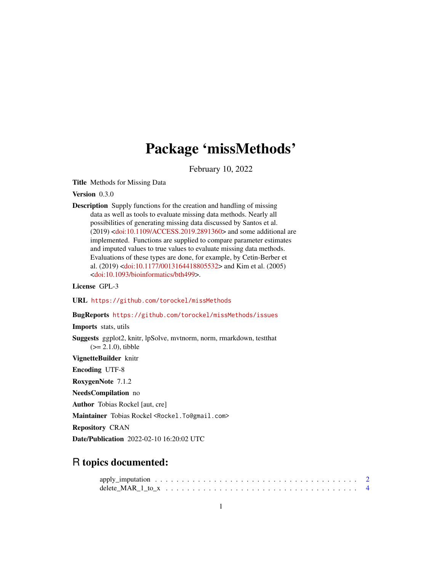# Package 'missMethods'

February 10, 2022

<span id="page-0-0"></span>Title Methods for Missing Data

Version 0.3.0

Description Supply functions for the creation and handling of missing data as well as tools to evaluate missing data methods. Nearly all possibilities of generating missing data discussed by Santos et al. (2019) [<doi:10.1109/ACCESS.2019.2891360>](https://doi.org/10.1109/ACCESS.2019.2891360) and some additional are implemented. Functions are supplied to compare parameter estimates and imputed values to true values to evaluate missing data methods. Evaluations of these types are done, for example, by Cetin-Berber et al. (2019) [<doi:10.1177/0013164418805532>](https://doi.org/10.1177/0013164418805532) and Kim et al. (2005) [<doi:10.1093/bioinformatics/bth499>](https://doi.org/10.1093/bioinformatics/bth499).

License GPL-3

URL <https://github.com/torockel/missMethods>

BugReports <https://github.com/torockel/missMethods/issues>

Imports stats, utils

Suggests ggplot2, knitr, lpSolve, mvtnorm, norm, rmarkdown, testthat  $(>= 2.1.0)$ , tibble

VignetteBuilder knitr

Encoding UTF-8

RoxygenNote 7.1.2

NeedsCompilation no

Author Tobias Rockel [aut, cre]

Maintainer Tobias Rockel <Rockel.To@gmail.com>

Repository CRAN

Date/Publication 2022-02-10 16:20:02 UTC

# R topics documented:

| delete MAR 1 to $x_1, \ldots, x_n, \ldots, x_n, \ldots, x_n, \ldots, x_n, \ldots, x_n, \ldots, x_n$ |  |  |  |  |  |  |  |  |  |  |  |  |  |  |  |  |  |
|-----------------------------------------------------------------------------------------------------|--|--|--|--|--|--|--|--|--|--|--|--|--|--|--|--|--|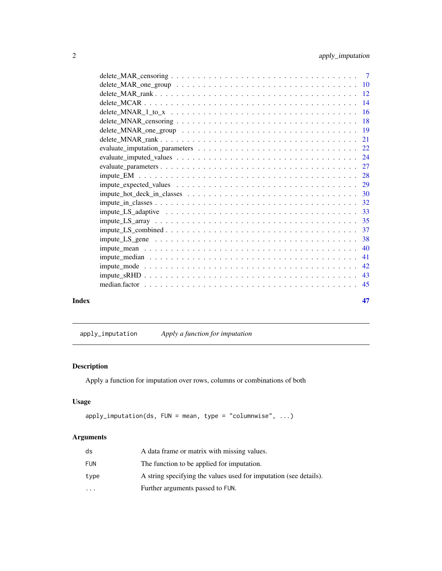<span id="page-1-0"></span>

| Index | 47 |
|-------|----|

<span id="page-1-1"></span>apply\_imputation *Apply a function for imputation*

# Description

Apply a function for imputation over rows, columns or combinations of both

# Usage

```
apply_imputation(ds, FUN = mean, type = "columnwise", ...)
```
# Arguments

| ds        | A data frame or matrix with missing values.                       |
|-----------|-------------------------------------------------------------------|
| FUN       | The function to be applied for imputation.                        |
| type      | A string specifying the values used for imputation (see details). |
| $\ddotsc$ | Further arguments passed to FUN.                                  |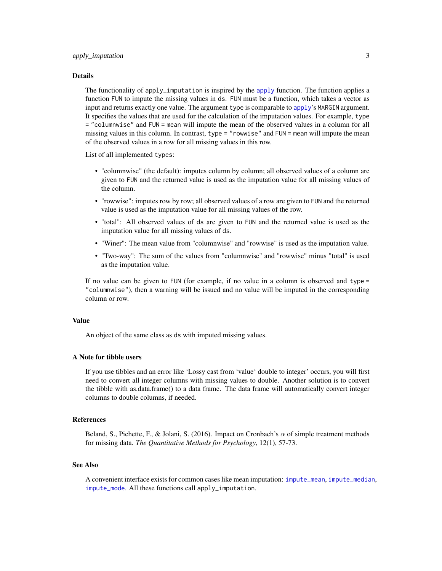#### <span id="page-2-0"></span>Details

The functionality of [apply](#page-0-0)\_imputation is inspired by the apply function. The function applies a function FUN to impute the missing values in ds. FUN must be a function, which takes a vector as input and returns exactly one value. The argument type is comparable to [apply](#page-0-0)'s MARGIN argument. It specifies the values that are used for the calculation of the imputation values. For example, type = "columnwise" and FUN = mean will impute the mean of the observed values in a column for all missing values in this column. In contrast, type = "rowwise" and FUN = mean will impute the mean of the observed values in a row for all missing values in this row.

List of all implemented types:

- "columnwise" (the default): imputes column by column; all observed values of a column are given to FUN and the returned value is used as the imputation value for all missing values of the column.
- "rowwise": imputes row by row; all observed values of a row are given to FUN and the returned value is used as the imputation value for all missing values of the row.
- "total": All observed values of ds are given to FUN and the returned value is used as the imputation value for all missing values of ds.
- "Winer": The mean value from "columnwise" and "rowwise" is used as the imputation value.
- "Two-way": The sum of the values from "columnwise" and "rowwise" minus "total" is used as the imputation value.

If no value can be given to FUN (for example, if no value in a column is observed and type = "columnwise"), then a warning will be issued and no value will be imputed in the corresponding column or row.

# Value

An object of the same class as ds with imputed missing values.

# A Note for tibble users

If you use tibbles and an error like 'Lossy cast from 'value' double to integer' occurs, you will first need to convert all integer columns with missing values to double. Another solution is to convert the tibble with as.data.frame() to a data frame. The data frame will automatically convert integer columns to double columns, if needed.

#### References

Beland, S., Pichette, F., & Jolani, S. (2016). Impact on Cronbach's  $\alpha$  of simple treatment methods for missing data. *The Quantitative Methods for Psychology*, 12(1), 57-73.

#### See Also

A convenient interface exists for common cases like mean imputation: [impute\\_mean](#page-39-1), [impute\\_median](#page-40-1), [impute\\_mode](#page-41-1). All these functions call apply\_imputation.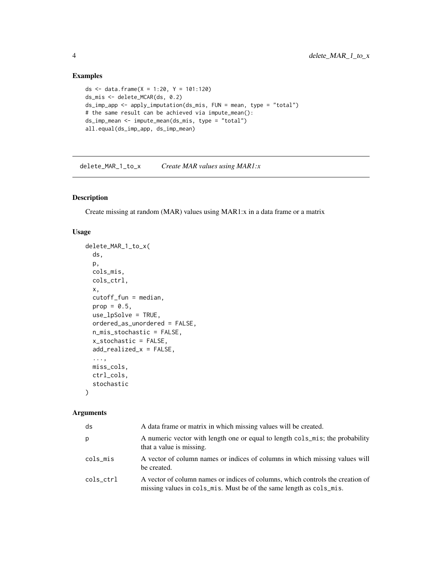# Examples

```
ds <- data.frame(X = 1:20, Y = 101:120)
ds_mis <- delete_MCAR(ds, 0.2)
ds_imp_app <- apply_imputation(ds_mis, FUN = mean, type = "total")
# the same result can be achieved via impute_mean():
ds_imp_mean <- impute_mean(ds_mis, type = "total")
all.equal(ds_imp_app, ds_imp_mean)
```
<span id="page-3-1"></span>delete\_MAR\_1\_to\_x *Create MAR values using MAR1:x*

# Description

Create missing at random (MAR) values using MAR1:x in a data frame or a matrix

#### Usage

```
delete_MAR_1_to_x(
  ds,
 p,
 cols_mis,
 cols_ctrl,
 x,
 cutoff_fun = median,
 prop = 0.5,
 use_lpSolve = TRUE,
 ordered_as_unordered = FALSE,
 n_mis_stochastic = FALSE,
  x_stochastic = FALSE,
 add_realized_x = FALSE,
  ...,
 miss_cols,
 ctrl_cols,
  stochastic
\mathcal{E}
```
# Arguments

| ds        | A data frame or matrix in which missing values will be created.                                                                                       |
|-----------|-------------------------------------------------------------------------------------------------------------------------------------------------------|
| р         | A numeric vector with length one or equal to length cols_mis; the probability<br>that a value is missing.                                             |
| cols_mis  | A vector of column names or indices of columns in which missing values will<br>be created.                                                            |
| cols_ctrl | A vector of column names or indices of columns, which controls the creation of<br>missing values in cols_mis. Must be of the same length as cols_mis. |

<span id="page-3-0"></span>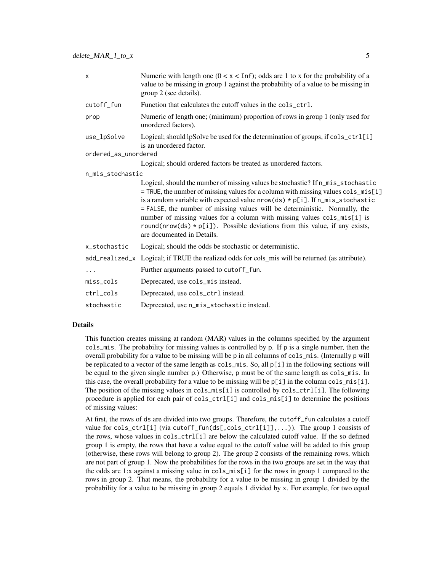| $\boldsymbol{\mathsf{x}}$ | Numeric with length one $(0 < x < \text{Inf})$ ; odds are 1 to x for the probability of a<br>value to be missing in group 1 against the probability of a value to be missing in<br>group 2 (see details).                                                                                                                                                                                                                                                                                                                           |
|---------------------------|-------------------------------------------------------------------------------------------------------------------------------------------------------------------------------------------------------------------------------------------------------------------------------------------------------------------------------------------------------------------------------------------------------------------------------------------------------------------------------------------------------------------------------------|
| cutoff_fun                | Function that calculates the cutoff values in the cols_ctrl.                                                                                                                                                                                                                                                                                                                                                                                                                                                                        |
| prop                      | Numeric of length one; (minimum) proportion of rows in group 1 (only used for<br>unordered factors).                                                                                                                                                                                                                                                                                                                                                                                                                                |
| use_lpSolve               | Logical; should lpSolve be used for the determination of groups, if cols_ctrl[i]<br>is an unordered factor.                                                                                                                                                                                                                                                                                                                                                                                                                         |
| ordered_as_unordered      |                                                                                                                                                                                                                                                                                                                                                                                                                                                                                                                                     |
|                           | Logical; should ordered factors be treated as unordered factors.                                                                                                                                                                                                                                                                                                                                                                                                                                                                    |
| n_mis_stochastic          |                                                                                                                                                                                                                                                                                                                                                                                                                                                                                                                                     |
|                           | Logical, should the number of missing values be stochastic? If n_mis_stochastic<br>= TRUE, the number of missing values for a column with missing values cols_mis[i]<br>is a random variable with expected value $nrow(ds) * p[i]$ . If $n_mis_stochastic$<br>= FALSE, the number of missing values will be deterministic. Normally, the<br>number of missing values for a column with missing values cols_mis[i] is<br>round(nrow(ds) $*$ p[i]). Possible deviations from this value, if any exists,<br>are documented in Details. |
| x_stochastic              | Logical; should the odds be stochastic or deterministic.                                                                                                                                                                                                                                                                                                                                                                                                                                                                            |
|                           | add_realized_x Logical; if TRUE the realized odds for cols_mis will be returned (as attribute).                                                                                                                                                                                                                                                                                                                                                                                                                                     |
| .                         | Further arguments passed to cutoff_fun.                                                                                                                                                                                                                                                                                                                                                                                                                                                                                             |
| miss_cols                 | Deprecated, use cols_mis instead.                                                                                                                                                                                                                                                                                                                                                                                                                                                                                                   |
| ctrl_cols                 | Deprecated, use cols_ctrl instead.                                                                                                                                                                                                                                                                                                                                                                                                                                                                                                  |
| stochastic                | Deprecated, use n_mis_stochastic instead.                                                                                                                                                                                                                                                                                                                                                                                                                                                                                           |

# Details

This function creates missing at random (MAR) values in the columns specified by the argument cols\_mis. The probability for missing values is controlled by p. If  $p$  is a single number, then the overall probability for a value to be missing will be p in all columns of cols\_mis. (Internally p will be replicated to a vector of the same length as cols\_mis. So, all p[i] in the following sections will be equal to the given single number p.) Otherwise, p must be of the same length as cols\_mis. In this case, the overall probability for a value to be missing will be  $p[i]$  in the column cols\_mis[i]. The position of the missing values in  $cols_mis[i]$  is controlled by  $cols_ctr1[i]$ . The following procedure is applied for each pair of cols\_ctrl[i] and cols\_mis[i] to determine the positions of missing values:

At first, the rows of ds are divided into two groups. Therefore, the cutoff\_fun calculates a cutoff value for cols\_ctrl[i] (via cutoff\_fun(ds[,cols\_ctrl[i]],...)). The group 1 consists of the rows, whose values in cols\_ctrl[i] are below the calculated cutoff value. If the so defined group 1 is empty, the rows that have a value equal to the cutoff value will be added to this group (otherwise, these rows will belong to group 2). The group 2 consists of the remaining rows, which are not part of group 1. Now the probabilities for the rows in the two groups are set in the way that the odds are 1:x against a missing value in cols\_mis[i] for the rows in group 1 compared to the rows in group 2. That means, the probability for a value to be missing in group 1 divided by the probability for a value to be missing in group 2 equals 1 divided by x. For example, for two equal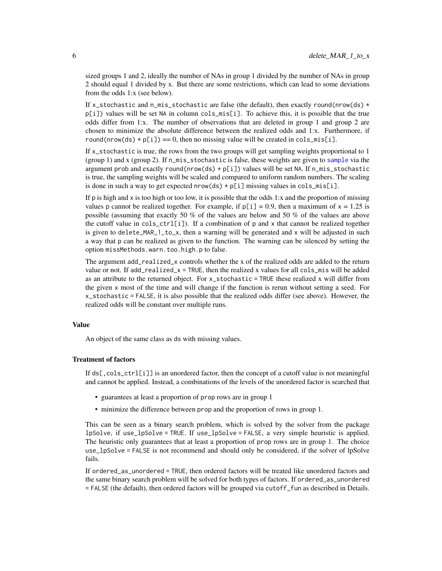<span id="page-5-0"></span>sized groups 1 and 2, ideally the number of NAs in group 1 divided by the number of NAs in group 2 should equal 1 divided by x. But there are some restrictions, which can lead to some deviations from the odds 1:x (see below).

If x\_stochastic and n\_mis\_stochastic are false (the default), then exactly round(nrow(ds)  $\star$  $p[i]$ ) values will be set NA in column cols\_mis[i]. To achieve this, it is possible that the true odds differ from 1:x. The number of observations that are deleted in group 1 and group 2 are chosen to minimize the absolute difference between the realized odds and 1:x. Furthermore, if round(nrow(ds)  $\star$  p[i]) = 0, then no missing value will be created in cols\_mis[i].

If x\_stochastic is true, the rows from the two groups will get sampling weights proportional to 1 (group 1) and x (group 2). If  $n_{mis\_stochastic}$  is false, these weights are given to [sample](#page-0-0) via the argument prob and exactly round(nrow(ds)  $\star$  p[i]) values will be set NA. If n\_mis\_stochastic is true, the sampling weights will be scaled and compared to uniform random numbers. The scaling is done in such a way to get expected nrow(ds)  $\star$  p[i] missing values in cols\_mis[i].

If p is high and  $x$  is too high or too low, it is possible that the odds 1: $x$  and the proportion of missing values p cannot be realized together. For example, if  $p[i] = 0.9$ , then a maximum of  $x = 1.25$  is possible (assuming that exactly 50 % of the values are below and 50 % of the values are above the cutoff value in  $cols_{\text{c}t}$ . If a combination of p and x that cannot be realized together is given to delete\_MAR\_1\_to\_x, then a warning will be generated and x will be adjusted in such a way that p can be realized as given to the function. The warning can be silenced by setting the option missMethods.warn.too.high.p to false.

The argument add\_realized\_x controls whether the x of the realized odds are added to the return value or not. If add\_realized\_x = TRUE, then the realized x values for all cols\_mis will be added as an attribute to the returned object. For x\_stochastic = TRUE these realized x will differ from the given x most of the time and will change if the function is rerun without setting a seed. For x\_stochastic = FALSE, it is also possible that the realized odds differ (see above). However, the realized odds will be constant over multiple runs.

# Value

An object of the same class as ds with missing values.

#### Treatment of factors

If ds[,cols\_ctrl[i]] is an unordered factor, then the concept of a cutoff value is not meaningful and cannot be applied. Instead, a combinations of the levels of the unordered factor is searched that

- guarantees at least a proportion of prop rows are in group 1
- minimize the difference between prop and the proportion of rows in group 1.

This can be seen as a binary search problem, which is solved by the solver from the package lpSolve, if use\_lpSolve = TRUE. If use\_lpSolve = FALSE, a very simple heuristic is applied. The heuristic only guarantees that at least a proportion of prop rows are in group 1. The choice use\_lpSolve = FALSE is not recommend and should only be considered, if the solver of lpSolve fails.

If ordered\_as\_unordered = TRUE, then ordered factors will be treated like unordered factors and the same binary search problem will be solved for both types of factors. If ordered\_as\_unordered = FALSE (the default), then ordered factors will be grouped via cutoff\_fun as described in Details.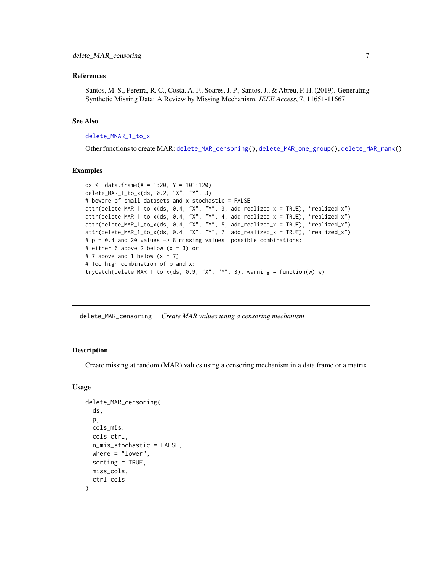#### <span id="page-6-0"></span>References

Santos, M. S., Pereira, R. C., Costa, A. F., Soares, J. P., Santos, J., & Abreu, P. H. (2019). Generating Synthetic Missing Data: A Review by Missing Mechanism. *IEEE Access*, 7, 11651-11667

#### See Also

# [delete\\_MNAR\\_1\\_to\\_x](#page-15-1)

Other functions to create MAR: [delete\\_MAR\\_censoring\(](#page-6-1)), [delete\\_MAR\\_one\\_group\(](#page-9-1)), [delete\\_MAR\\_rank\(](#page-11-1))

#### Examples

```
ds \le data.frame(X = 1:20, Y = 101:120)
delete_MAR_1_to_x(ds, 0.2, "X", "Y", 3)
# beware of small datasets and x_stochastic = FALSE
attr(delete_MAR_1_to_x(ds, 0.4, "X", "Y", 3, add_realized_x = TRUE), "realized_x")
attr(delete_MAR_1_to_x(ds, 0.4, "X", "Y", 4, add_realized_x = TRUE), "realized_x")
attr(delete_MAR_1_to_x(ds, 0.4, "X", "Y", 5, add_realized_x = TRUE), "realized_x")<br>attr(delete_MAR_1_to_x(ds, 0.4, "X", "Y", 5, add_realized_x = TRUE), "realized_x")
attr(delete_MAR_1_to_x(ds, 0.4, "X", "Y", 7, add_realized_x = TRUE), "realized_x")
# p = 0.4 and 20 values -> 8 missing values, possible combinations:
# either 6 above 2 below (x = 3) or
# 7 above and 1 below (x = 7)# Too high combination of p and x:
tryCatch(delete_MAR_1_to_x(ds, 0.9, "X", "Y", 3), warning = function(w) w)
```
<span id="page-6-1"></span>delete\_MAR\_censoring *Create MAR values using a censoring mechanism*

#### **Description**

Create missing at random (MAR) values using a censoring mechanism in a data frame or a matrix

#### Usage

```
delete_MAR_censoring(
  ds,
  p,
  cols_mis,
  cols_ctrl,
  n_mis_stochastic = FALSE,
 where = "lower",
  sorting = TRUE,
 miss_cols,
  ctrl_cols
)
```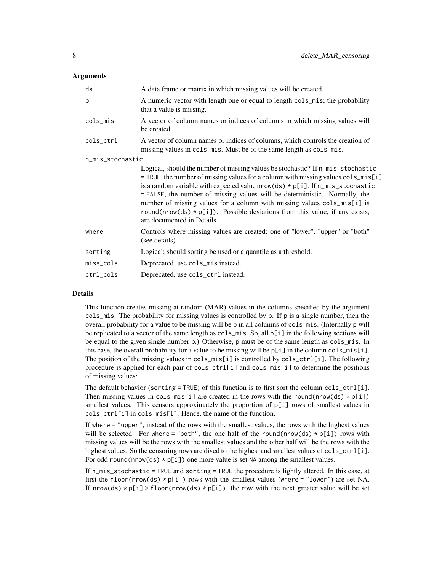### **Arguments**

| A data frame or matrix in which missing values will be created.                                                                                                                                                                                                                                                                                                                                                                                                                                                                     |
|-------------------------------------------------------------------------------------------------------------------------------------------------------------------------------------------------------------------------------------------------------------------------------------------------------------------------------------------------------------------------------------------------------------------------------------------------------------------------------------------------------------------------------------|
| A numeric vector with length one or equal to length cols_mis; the probability<br>that a value is missing.                                                                                                                                                                                                                                                                                                                                                                                                                           |
| A vector of column names or indices of columns in which missing values will<br>be created.                                                                                                                                                                                                                                                                                                                                                                                                                                          |
| A vector of column names or indices of columns, which controls the creation of<br>missing values in cols_mis. Must be of the same length as cols_mis.                                                                                                                                                                                                                                                                                                                                                                               |
| n_mis_stochastic                                                                                                                                                                                                                                                                                                                                                                                                                                                                                                                    |
| Logical, should the number of missing values be stochastic? If n_mis_stochastic<br>= TRUE, the number of missing values for a column with missing values cols_mis[i]<br>is a random variable with expected value $nrow(ds) * p[i]$ . If $n_mis_stochastic$<br>= FALSE, the number of missing values will be deterministic. Normally, the<br>number of missing values for a column with missing values cols_mis[i] is<br>round(nrow(ds) $*$ p[i]). Possible deviations from this value, if any exists,<br>are documented in Details. |
| Controls where missing values are created; one of "lower", "upper" or "both"<br>(see details).                                                                                                                                                                                                                                                                                                                                                                                                                                      |
| Logical; should sorting be used or a quantile as a threshold.                                                                                                                                                                                                                                                                                                                                                                                                                                                                       |
| Deprecated, use cols_mis instead.                                                                                                                                                                                                                                                                                                                                                                                                                                                                                                   |
| Deprecated, use cols_ctrl instead.                                                                                                                                                                                                                                                                                                                                                                                                                                                                                                  |
|                                                                                                                                                                                                                                                                                                                                                                                                                                                                                                                                     |

# Details

This function creates missing at random (MAR) values in the columns specified by the argument cols\_mis. The probability for missing values is controlled by p. If p is a single number, then the overall probability for a value to be missing will be p in all columns of cols\_mis. (Internally p will be replicated to a vector of the same length as cols\_mis. So, all p[i] in the following sections will be equal to the given single number p.) Otherwise, p must be of the same length as cols\_mis. In this case, the overall probability for a value to be missing will be  $p[i]$  in the column cols\_mis[i]. The position of the missing values in cols\_mis[i] is controlled by cols\_ctrl[i]. The following procedure is applied for each pair of cols\_ctrl[i] and cols\_mis[i] to determine the positions of missing values:

The default behavior (sorting = TRUE) of this function is to first sort the column cols\_ctrl[i]. Then missing values in cols\_mis[i] are created in the rows with the round(nrow(ds)  $*\overline{p[i]}$ ) smallest values. This censors approximately the proportion of  $p[i]$  rows of smallest values in cols\_ctrl[i] in cols\_mis[i]. Hence, the name of the function.

If where = "upper", instead of the rows with the smallest values, the rows with the highest values will be selected. For where = "both", the one half of the round(nrow(ds)  $\star$  p[i]) rows with missing values will be the rows with the smallest values and the other half will be the rows with the highest values. So the censoring rows are dived to the highest and smallest values of cols\_ctrl[i]. For odd round(nrow(ds)  $\star$  p[i]) one more value is set NA among the smallest values.

If n\_mis\_stochastic = TRUE and sorting = TRUE the procedure is lightly altered. In this case, at first the floor(nrow(ds)  $\star$  p[i]) rows with the smallest values (where = "lower") are set NA. If  $nrow(ds) * p[i] > floor(nrow(ds) * p[i]),$  the row with the next greater value will be set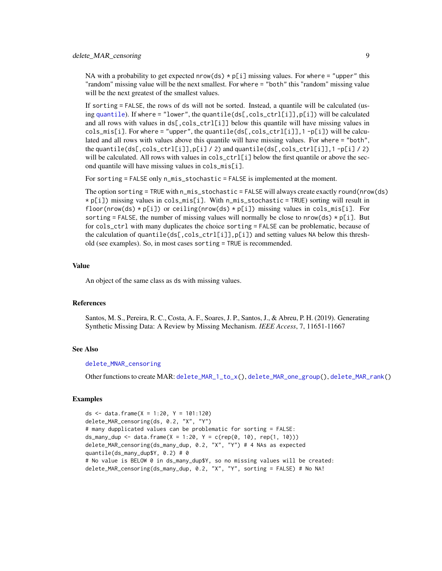<span id="page-8-0"></span>NA with a probability to get expected nrow(ds)  $\star$  p[i] missing values. For where = "upper" this "random" missing value will be the next smallest. For where = "both" this "random" missing value will be the next greatest of the smallest values.

If sorting = FALSE, the rows of ds will not be sorted. Instead, a quantile will be calculated (using [quantile](#page-0-0)). If where = "lower", the quantile(ds[,cols\_ctrl[i]],p[i]) will be calculated and all rows with values in  $ds[$ ,  $cols_ctrl[i]$ ] below this quantile will have missing values in  $cols\_mis[i]$ . For where = "upper", the quantile( $ds[$ , $cols\_ctrl[i]]$ , 1 -p[i]) will be calculated and all rows with values above this quantile will have missing values. For where = "both", the quantile(ds[,cols\_ctrl[i]],p[i] / 2) and quantile(ds[,cols\_ctrl[i]],1 -p[i] / 2) will be calculated. All rows with values in  $cols_ctrl[i]$  below the first quantile or above the second quantile will have missing values in cols\_mis[i].

For sorting = FALSE only n\_mis\_stochastic = FALSE is implemented at the moment.

The option sorting = TRUE with n\_mis\_stochastic = FALSE will always create exactly round(nrow(ds) \* p[i]) missing values in cols\_mis[i]. With n\_mis\_stochastic = TRUE) sorting will result in floor(nrow(ds)  $\star$  p[i]) or ceiling(nrow(ds)  $\star$  p[i]) missing values in cols\_mis[i]. For sorting = FALSE, the number of missing values will normally be close to nrow(ds)  $\star$  p[i]. But for cols\_ctrl with many duplicates the choice sorting = FALSE can be problematic, because of the calculation of quantile(ds[,cols\_ctrl[i]],p[i]) and setting values NA below this threshold (see examples). So, in most cases sorting = TRUE is recommended.

#### Value

An object of the same class as ds with missing values.

# References

Santos, M. S., Pereira, R. C., Costa, A. F., Soares, J. P., Santos, J., & Abreu, P. H. (2019). Generating Synthetic Missing Data: A Review by Missing Mechanism. *IEEE Access*, 7, 11651-11667

#### See Also

#### [delete\\_MNAR\\_censoring](#page-17-1)

Other functions to create MAR: [delete\\_MAR\\_1\\_to\\_x\(](#page-3-1)), [delete\\_MAR\\_one\\_group\(](#page-9-1)), [delete\\_MAR\\_rank\(](#page-11-1))

#### Examples

```
ds \le data.frame(X = 1:20, Y = 101:120)
delete_MAR_censoring(ds, 0.2, "X", "Y")
# many dupplicated values can be problematic for sorting = FALSE:
ds_many_dup <- data.frame(X = 1:20, Y = c(rep(0, 10), rep(1, 10)))delete_MAR_censoring(ds_many_dup, 0.2, "X", "Y") # 4 NAs as expected
quantile(ds_many_dup$Y, 0.2) # 0
# No value is BELOW 0 in ds_many_dup$Y, so no missing values will be created:
delete_MAR_censoring(ds_many_dup, 0.2, "X", "Y", sorting = FALSE) # No NA!
```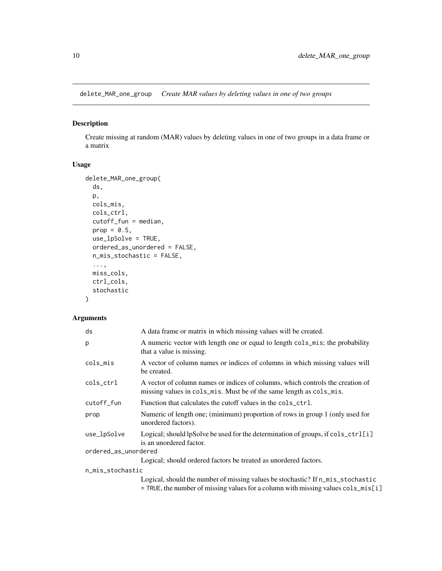<span id="page-9-1"></span><span id="page-9-0"></span>delete\_MAR\_one\_group *Create MAR values by deleting values in one of two groups*

# Description

Create missing at random (MAR) values by deleting values in one of two groups in a data frame or a matrix

# Usage

```
delete_MAR_one_group(
 ds,
 p,
 cols_mis,
 cols_ctrl,
 cutoff_fun = median,
 prop = 0.5,
 use_lpSolve = TRUE,
 ordered_as_unordered = FALSE,
 n_mis_stochastic = FALSE,
  ...,
 miss_cols,
 ctrl_cols,
  stochastic
\mathcal{L}
```
# Arguments

| ds                   | A data frame or matrix in which missing values will be created.                                                                                                        |
|----------------------|------------------------------------------------------------------------------------------------------------------------------------------------------------------------|
| p                    | A numeric vector with length one or equal to length cols_mis; the probability<br>that a value is missing.                                                              |
| cols_mis             | A vector of column names or indices of columns in which missing values will<br>be created.                                                                             |
| cols_ctrl            | A vector of column names or indices of columns, which controls the creation of<br>missing values in cols_mis. Must be of the same length as cols_mis.                  |
| cutoff_fun           | Function that calculates the cutoff values in the cols_ctrl.                                                                                                           |
| prop                 | Numeric of length one; (minimum) proportion of rows in group 1 (only used for<br>unordered factors).                                                                   |
| use_lpSolve          | Logical; should lpSolve be used for the determination of groups, if $\text{cols}\_{\text{ctrl}}[i]$<br>is an unordered factor.                                         |
| ordered_as_unordered |                                                                                                                                                                        |
|                      | Logical; should ordered factors be treated as unordered factors.                                                                                                       |
| n_mis_stochastic     |                                                                                                                                                                        |
|                      | Logical, should the number of missing values be stochastic? If n_mis_stochastic<br>$=$ TRUE, the number of missing values for a column with missing values cols_mis[i] |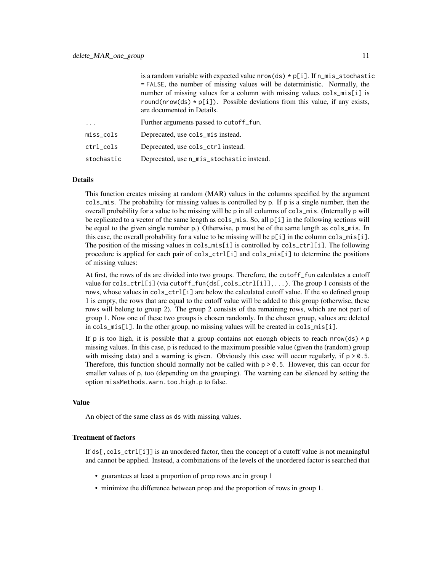|           | is a random variable with expected value $nrow(ds) * p[i]$ . If $n_m$ is_stochastic                         |
|-----------|-------------------------------------------------------------------------------------------------------------|
|           | $=$ FALSE, the number of missing values will be deterministic. Normally, the                                |
|           | number of missing values for a column with missing values cols_mis[i] is                                    |
|           | round(nrow(ds) $*$ p[i]). Possible deviations from this value, if any exists,<br>are documented in Details. |
| $\cdots$  | Further arguments passed to cutoff fun.                                                                     |
| miss_cols | Deprecated, use cols_mis instead.                                                                           |
|           |                                                                                                             |

| ctrl_cols | Deprecated, use cols_ctrl instead. |
|-----------|------------------------------------|
|-----------|------------------------------------|

stochastic Deprecated, use n\_mis\_stochastic instead.

#### Details

This function creates missing at random (MAR) values in the columns specified by the argument cols\_mis. The probability for missing values is controlled by p. If p is a single number, then the overall probability for a value to be missing will be p in all columns of cols\_mis. (Internally p will be replicated to a vector of the same length as cols\_mis. So, all p[i] in the following sections will be equal to the given single number p.) Otherwise, p must be of the same length as cols\_mis. In this case, the overall probability for a value to be missing will be  $p[i]$  in the column cols\_mis[i]. The position of the missing values in  $cols_m$  is  $[1]$  is controlled by  $cols_c$   $ctrl[i]$ . The following procedure is applied for each pair of cols\_ctrl[i] and cols\_mis[i] to determine the positions of missing values:

At first, the rows of ds are divided into two groups. Therefore, the cutoff\_fun calculates a cutoff value for cols\_ctrl[i] (via cutoff\_fun(ds[,cols\_ctrl[i]],...). The group 1 consists of the rows, whose values in cols\_ctrl[i] are below the calculated cutoff value. If the so defined group 1 is empty, the rows that are equal to the cutoff value will be added to this group (otherwise, these rows will belong to group 2). The group 2 consists of the remaining rows, which are not part of group 1. Now one of these two groups is chosen randomly. In the chosen group, values are deleted in cols\_mis[i]. In the other group, no missing values will be created in cols\_mis[i].

If p is too high, it is possible that a group contains not enough objects to reach nrow(ds)  $\star$  p missing values. In this case, p is reduced to the maximum possible value (given the (random) group with missing data) and a warning is given. Obviously this case will occur regularly, if  $p > 0.5$ . Therefore, this function should normally not be called with  $p > 0.5$ . However, this can occur for smaller values of p, too (depending on the grouping). The warning can be silenced by setting the option missMethods.warn.too.high.p to false.

#### Value

An object of the same class as ds with missing values.

#### Treatment of factors

If  $ds[$ ,  $cols_ctr1[i]$  is an unordered factor, then the concept of a cutoff value is not meaningful and cannot be applied. Instead, a combinations of the levels of the unordered factor is searched that

- guarantees at least a proportion of prop rows are in group 1
- minimize the difference between prop and the proportion of rows in group 1.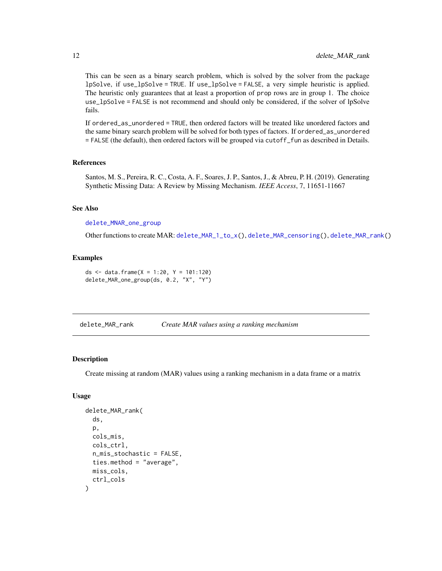This can be seen as a binary search problem, which is solved by the solver from the package lpSolve, if use\_lpSolve = TRUE. If use\_lpSolve = FALSE, a very simple heuristic is applied. The heuristic only guarantees that at least a proportion of prop rows are in group 1. The choice use\_lpSolve = FALSE is not recommend and should only be considered, if the solver of lpSolve fails.

If ordered\_as\_unordered = TRUE, then ordered factors will be treated like unordered factors and the same binary search problem will be solved for both types of factors. If ordered\_as\_unordered = FALSE (the default), then ordered factors will be grouped via cutoff\_fun as described in Details.

# References

Santos, M. S., Pereira, R. C., Costa, A. F., Soares, J. P., Santos, J., & Abreu, P. H. (2019). Generating Synthetic Missing Data: A Review by Missing Mechanism. *IEEE Access*, 7, 11651-11667

#### See Also

[delete\\_MNAR\\_one\\_group](#page-18-1)

Other functions to create MAR: [delete\\_MAR\\_1\\_to\\_x\(](#page-3-1)), [delete\\_MAR\\_censoring\(](#page-6-1)), [delete\\_MAR\\_rank\(](#page-11-1))

#### Examples

ds  $\le$  data.frame(X = 1:20, Y = 101:120) delete\_MAR\_one\_group(ds, 0.2, "X", "Y")

<span id="page-11-1"></span>delete\_MAR\_rank *Create MAR values using a ranking mechanism*

#### Description

Create missing at random (MAR) values using a ranking mechanism in a data frame or a matrix

#### Usage

```
delete_MAR_rank(
  ds,
  p,
  cols_mis,
  cols_ctrl,
  n_mis_stochastic = FALSE,
  ties.method = "average",
 miss_cols,
  ctrl_cols
)
```
<span id="page-11-0"></span>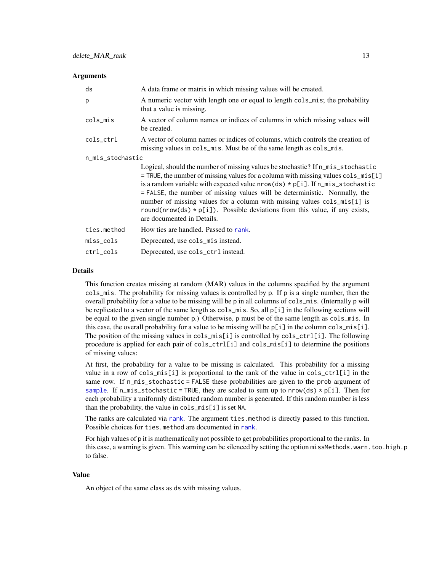#### <span id="page-12-0"></span>**Arguments**

| ds               | A data frame or matrix in which missing values will be created.                                                                                                                                                                                                                                                                                                                                                                                                                                                                                  |
|------------------|--------------------------------------------------------------------------------------------------------------------------------------------------------------------------------------------------------------------------------------------------------------------------------------------------------------------------------------------------------------------------------------------------------------------------------------------------------------------------------------------------------------------------------------------------|
| p                | A numeric vector with length one or equal to length cols_mis; the probability<br>that a value is missing.                                                                                                                                                                                                                                                                                                                                                                                                                                        |
| cols_mis         | A vector of column names or indices of columns in which missing values will<br>be created.                                                                                                                                                                                                                                                                                                                                                                                                                                                       |
| cols_ctrl        | A vector of column names or indices of columns, which controls the creation of<br>missing values in cols_mis. Must be of the same length as cols_mis.                                                                                                                                                                                                                                                                                                                                                                                            |
| n_mis_stochastic |                                                                                                                                                                                                                                                                                                                                                                                                                                                                                                                                                  |
|                  | Logical, should the number of missing values be stochastic? If n_mis_stochastic<br>$=$ TRUE, the number of missing values for a column with missing values $\text{cols\_mis}[i]$<br>is a random variable with expected value $nrow(ds) * p[i]$ . If $n_m$ is stochastic<br>= FALSE, the number of missing values will be deterministic. Normally, the<br>number of missing values for a column with missing values cols_mis[i] is<br>round(nrow(ds) $*$ p[i]). Possible deviations from this value, if any exists,<br>are documented in Details. |
| ties.method      | How ties are handled. Passed to rank.                                                                                                                                                                                                                                                                                                                                                                                                                                                                                                            |
| miss_cols        | Deprecated, use cols_mis instead.                                                                                                                                                                                                                                                                                                                                                                                                                                                                                                                |
| ctrl_cols        | Deprecated, use cols_ctrl instead.                                                                                                                                                                                                                                                                                                                                                                                                                                                                                                               |
|                  |                                                                                                                                                                                                                                                                                                                                                                                                                                                                                                                                                  |

### Details

This function creates missing at random (MAR) values in the columns specified by the argument  $cols_m$  The probability for missing values is controlled by p. If p is a single number, then the overall probability for a value to be missing will be p in all columns of cols\_mis. (Internally p will be replicated to a vector of the same length as cols\_mis. So, all p[i] in the following sections will be equal to the given single number p.) Otherwise, p must be of the same length as cols\_mis. In this case, the overall probability for a value to be missing will be  $p[i]$  in the column cols  $mis[i]$ . The position of the missing values in cols\_mis[i] is controlled by cols\_ctrl[i]. The following procedure is applied for each pair of cols\_ctrl[i] and cols\_mis[i] to determine the positions of missing values:

At first, the probability for a value to be missing is calculated. This probability for a missing value in a row of cols\_mis[i] is proportional to the rank of the value in cols\_ctrl[i] in the same row. If n\_mis\_stochastic = FALSE these probabilities are given to the prob argument of [sample](#page-0-0). If n\_mis\_stochastic = TRUE, they are scaled to sum up to nrow(ds)  $*$  p[i]. Then for each probability a uniformly distributed random number is generated. If this random number is less than the probability, the value in cols\_mis[i] is set NA.

The [rank](#page-0-0)s are calculated via rank. The argument ties method is directly passed to this function. Possible choices for ties.method are documented in [rank](#page-0-0).

For high values of p it is mathematically not possible to get probabilities proportional to the ranks. In this case, a warning is given. This warning can be silenced by setting the option missMethods.warn.too.high.p to false.

#### Value

An object of the same class as ds with missing values.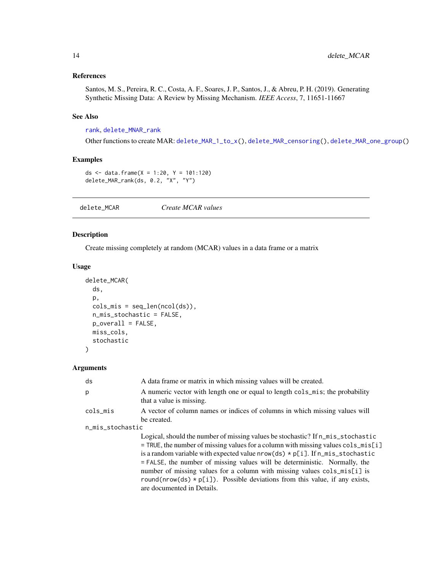# <span id="page-13-0"></span>References

Santos, M. S., Pereira, R. C., Costa, A. F., Soares, J. P., Santos, J., & Abreu, P. H. (2019). Generating Synthetic Missing Data: A Review by Missing Mechanism. *IEEE Access*, 7, 11651-11667

# See Also

# [rank](#page-0-0), [delete\\_MNAR\\_rank](#page-20-1)

Other functions to create MAR: [delete\\_MAR\\_1\\_to\\_x\(](#page-3-1)), [delete\\_MAR\\_censoring\(](#page-6-1)), [delete\\_MAR\\_one\\_group\(](#page-9-1))

# Examples

```
ds <- data.frame(X = 1:20, Y = 101:120)
delete_MAR_rank(ds, 0.2, "X", "Y")
```
delete\_MCAR *Create MCAR values*

# Description

Create missing completely at random (MCAR) values in a data frame or a matrix

# Usage

```
delete_MCAR(
  ds,
  p,
  cols_mis = seq\_len(ncol(ds)),
  n_mis_stochastic = FALSE,
  p_overall = FALSE,
  miss_cols,
  stochastic
\mathcal{E}
```
# Arguments

| ds               | A data frame or matrix in which missing values will be created.                                                                                                                                                                                                                                                                                                                                                                                                                                                                           |
|------------------|-------------------------------------------------------------------------------------------------------------------------------------------------------------------------------------------------------------------------------------------------------------------------------------------------------------------------------------------------------------------------------------------------------------------------------------------------------------------------------------------------------------------------------------------|
| b.               | A numeric vector with length one or equal to length cols_mis; the probability<br>that a value is missing.                                                                                                                                                                                                                                                                                                                                                                                                                                 |
| cols_mis         | A vector of column names or indices of columns in which missing values will<br>be created.                                                                                                                                                                                                                                                                                                                                                                                                                                                |
| n_mis_stochastic |                                                                                                                                                                                                                                                                                                                                                                                                                                                                                                                                           |
|                  | Logical, should the number of missing values be stochastic? If n_mis_stochastic<br>$=$ TRUE, the number of missing values for a column with missing values cols_mis[i]<br>is a random variable with expected value $nrow(ds) * p[i]$ . If $n\_mis\_stochastic$<br>$=$ FALSE, the number of missing values will be deterministic. Normally, the<br>number of missing values for a column with missing values cols_mis[i] is<br>round(nrow(ds) $*$ p[i]). Possible deviations from this value, if any exists,<br>are documented in Details. |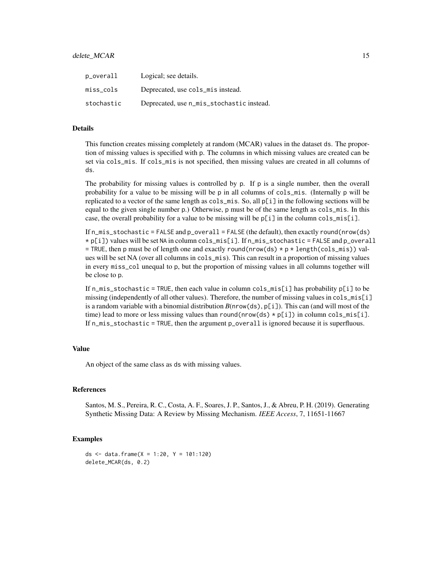| p_overall  | Logical; see details.                     |
|------------|-------------------------------------------|
| miss_cols  | Deprecated, use cols_mis instead.         |
| stochastic | Deprecated, use n_mis_stochastic instead. |

## Details

This function creates missing completely at random (MCAR) values in the dataset ds. The proportion of missing values is specified with p. The columns in which missing values are created can be set via cols\_mis. If cols\_mis is not specified, then missing values are created in all columns of ds.

The probability for missing values is controlled by p. If p is a single number, then the overall probability for a value to be missing will be p in all columns of cols\_mis. (Internally p will be replicated to a vector of the same length as cols\_mis. So, all p[i] in the following sections will be equal to the given single number p.) Otherwise, p must be of the same length as cols\_mis. In this case, the overall probability for a value to be missing will be  $p[i]$  in the column cols\_mis[i].

If  $n_m$  is stochastic = FALSE and  $p_overall$  = FALSE (the default), then exactly round(nrow(ds) \* p[i]) values will be set NA in column cols\_mis[i]. If n\_mis\_stochastic = FALSE and p\_overall = TRUE, then p must be of length one and exactly round(nrow(ds)  $\star$  p  $\star$  length(cols\_mis)) values will be set NA (over all columns in cols\_mis). This can result in a proportion of missing values in every miss\_col unequal to p, but the proportion of missing values in all columns together will be close to p.

If  $n_m$  is\_stochastic = TRUE, then each value in column cols\_mis[i] has probability  $p[i]$  to be missing (independently of all other values). Therefore, the number of missing values in cols\_mis[i] is a random variable with a binomial distribution  $B(nrow(ds), p[i])$ . This can (and will most of the time) lead to more or less missing values than round(nrow(ds)  $\star$  p[i]) in column cols\_mis[i]. If n\_mis\_stochastic = TRUE, then the argument p\_overall is ignored because it is superfluous.

# Value

An object of the same class as ds with missing values.

#### References

Santos, M. S., Pereira, R. C., Costa, A. F., Soares, J. P., Santos, J., & Abreu, P. H. (2019). Generating Synthetic Missing Data: A Review by Missing Mechanism. *IEEE Access*, 7, 11651-11667

# Examples

```
ds \le data.frame(X = 1:20, Y = 101:120)
delete_MCAR(ds, 0.2)
```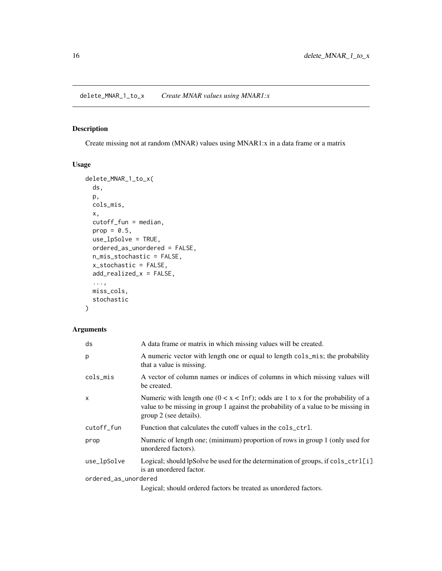<span id="page-15-1"></span><span id="page-15-0"></span>delete\_MNAR\_1\_to\_x *Create MNAR values using MNAR1:x*

# Description

Create missing not at random (MNAR) values using MNAR1:x in a data frame or a matrix

# Usage

```
delete_MNAR_1_to_x(
  ds,
 p,
  cols_mis,
 x,
  cutoff_fun = median,
 prop = 0.5,
 use_lpSolve = TRUE,
 ordered_as_unordered = FALSE,
  n_mis_stochastic = FALSE,
  x_stochastic = FALSE,
  add_realized_x = FALSE,
  ...,
 miss_cols,
  stochastic
)
```
## Arguments

| ds                   | A data frame or matrix in which missing values will be created.                                                                                                                                           |
|----------------------|-----------------------------------------------------------------------------------------------------------------------------------------------------------------------------------------------------------|
| p                    | A numeric vector with length one or equal to length cols_mis; the probability<br>that a value is missing.                                                                                                 |
| cols_mis             | A vector of column names or indices of columns in which missing values will<br>be created.                                                                                                                |
| $\mathsf{x}$         | Numeric with length one $(0 < x < \text{Inf})$ ; odds are 1 to x for the probability of a<br>value to be missing in group 1 against the probability of a value to be missing in<br>group 2 (see details). |
| cutoff_fun           | Function that calculates the cutoff values in the cols_ctrl.                                                                                                                                              |
| prop                 | Numeric of length one; (minimum) proportion of rows in group 1 (only used for<br>unordered factors).                                                                                                      |
| use_lpSolve          | Logical; should lpSolve be used for the determination of groups, if cols_ctrl[i]<br>is an unordered factor.                                                                                               |
| ordered_as_unordered |                                                                                                                                                                                                           |
|                      | Logical; should ordered factors be treated as unordered factors.                                                                                                                                          |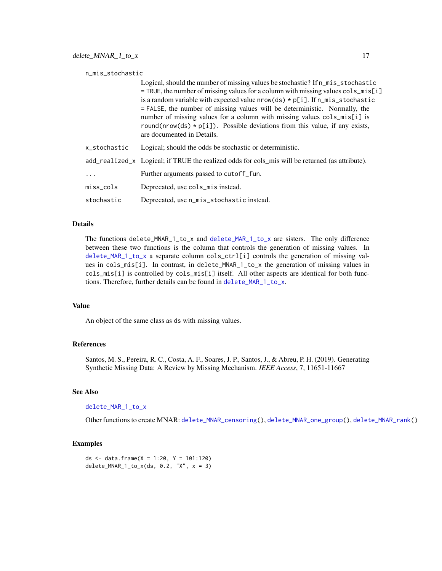<span id="page-16-0"></span>

| n_mis_stochastic |              |                                                                                                                                                                                                                                                                                                                                                                                                                                                                                                                                         |
|------------------|--------------|-----------------------------------------------------------------------------------------------------------------------------------------------------------------------------------------------------------------------------------------------------------------------------------------------------------------------------------------------------------------------------------------------------------------------------------------------------------------------------------------------------------------------------------------|
|                  |              | Logical, should the number of missing values be stochastic? If n_mis_stochastic<br>$=$ TRUE, the number of missing values for a column with missing values cols_mis[i]<br>is a random variable with expected value $nrow(ds) * p[i]$ . If $n\_mis\_stochastic$<br>= FALSE, the number of missing values will be deterministic. Normally, the<br>number of missing values for a column with missing values cols_mis[i] is<br>round(nrow(ds) $*$ p[i]). Possible deviations from this value, if any exists,<br>are documented in Details. |
|                  | x stochastic | Logical; should the odds be stochastic or deterministic.                                                                                                                                                                                                                                                                                                                                                                                                                                                                                |
|                  |              | add_realized_x Logical; if TRUE the realized odds for cols_mis will be returned (as attribute).                                                                                                                                                                                                                                                                                                                                                                                                                                         |
|                  | .            | Further arguments passed to cutoff_fun.                                                                                                                                                                                                                                                                                                                                                                                                                                                                                                 |
|                  | miss cols    | Deprecated, use cols_mis instead.                                                                                                                                                                                                                                                                                                                                                                                                                                                                                                       |
|                  | stochastic   | Deprecated, use n_mis_stochastic instead.                                                                                                                                                                                                                                                                                                                                                                                                                                                                                               |

#### Details

The functions delete\_MNAR\_1\_to\_x and [delete\\_MAR\\_1\\_to\\_x](#page-3-1) are sisters. The only difference between these two functions is the column that controls the generation of missing values. In [delete\\_MAR\\_1\\_to\\_x](#page-3-1) a separate column cols\_ctrl[i] controls the generation of missing values in cols\_mis[i]. In contrast, in delete\_MNAR\_1\_to\_x the generation of missing values in cols\_mis[i] is controlled by cols\_mis[i] itself. All other aspects are identical for both functions. Therefore, further details can be found in [delete\\_MAR\\_1\\_to\\_x](#page-3-1).

#### Value

An object of the same class as ds with missing values.

#### References

Santos, M. S., Pereira, R. C., Costa, A. F., Soares, J. P., Santos, J., & Abreu, P. H. (2019). Generating Synthetic Missing Data: A Review by Missing Mechanism. *IEEE Access*, 7, 11651-11667

## See Also

#### [delete\\_MAR\\_1\\_to\\_x](#page-3-1)

Other functions to create MNAR: [delete\\_MNAR\\_censoring\(](#page-17-1)), [delete\\_MNAR\\_one\\_group\(](#page-18-1)), [delete\\_MNAR\\_rank\(](#page-20-1))

# Examples

ds <- data.frame( $X = 1:20$ ,  $Y = 101:120$ ) delete\_MNAR\_1\_to\_x(ds, 0.2, "X",  $x = 3$ )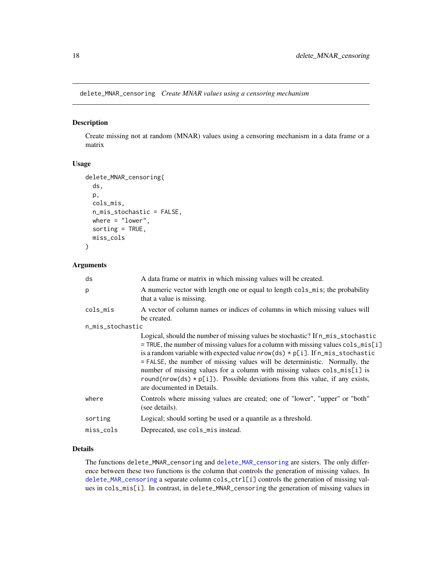<span id="page-17-1"></span><span id="page-17-0"></span>delete\_MNAR\_censoring *Create MNAR values using a censoring mechanism*

# Description

Create missing not at random (MNAR) values using a censoring mechanism in a data frame or a matrix

#### Usage

```
delete_MNAR_censoring(
  ds,
 p,
 cols_mis,
 n_mis_stochastic = FALSE,
 where = "lower",
 sorting = TRUE,
 miss_cols
)
```
# Arguments

| ds               | A data frame or matrix in which missing values will be created.                                                                                                                                                                                                                                                                                                                                                                                                                                                                                     |
|------------------|-----------------------------------------------------------------------------------------------------------------------------------------------------------------------------------------------------------------------------------------------------------------------------------------------------------------------------------------------------------------------------------------------------------------------------------------------------------------------------------------------------------------------------------------------------|
| p                | A numeric vector with length one or equal to length cols_mis; the probability<br>that a value is missing.                                                                                                                                                                                                                                                                                                                                                                                                                                           |
| cols_mis         | A vector of column names or indices of columns in which missing values will<br>be created.                                                                                                                                                                                                                                                                                                                                                                                                                                                          |
| n_mis_stochastic |                                                                                                                                                                                                                                                                                                                                                                                                                                                                                                                                                     |
|                  | Logical, should the number of missing values be stochastic? If n_mis_stochastic<br>$=$ TRUE, the number of missing values for a column with missing values $\text{cols}_m$ is $[i]$<br>is a random variable with expected value $nrow(ds) * p[i]$ . If $n_m$ is stochastic<br>= FALSE, the number of missing values will be deterministic. Normally, the<br>number of missing values for a column with missing values cols_mis[i] is<br>round(nrow(ds) $*$ p[i]). Possible deviations from this value, if any exists,<br>are documented in Details. |
| where            | Controls where missing values are created; one of "lower", "upper" or "both"<br>(see details).                                                                                                                                                                                                                                                                                                                                                                                                                                                      |
| sorting          | Logical; should sorting be used or a quantile as a threshold.                                                                                                                                                                                                                                                                                                                                                                                                                                                                                       |
| miss_cols        | Deprecated, use cols_mis instead.                                                                                                                                                                                                                                                                                                                                                                                                                                                                                                                   |

# Details

The functions delete\_MNAR\_censoring and [delete\\_MAR\\_censoring](#page-6-1) are sisters. The only difference between these two functions is the column that controls the generation of missing values. In [delete\\_MAR\\_censoring](#page-6-1) a separate column cols\_ctrl[i] controls the generation of missing values in cols\_mis[i]. In contrast, in delete\_MNAR\_censoring the generation of missing values in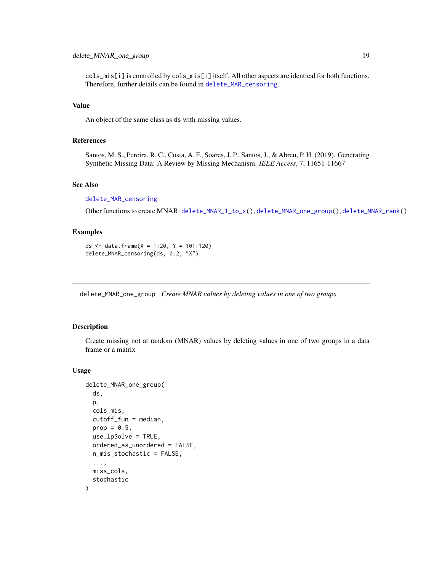# <span id="page-18-0"></span>delete\_MNAR\_one\_group 19

cols\_mis[i] is controlled by cols\_mis[i] itself. All other aspects are identical for both functions. Therefore, further details can be found in [delete\\_MAR\\_censoring](#page-6-1).

# Value

An object of the same class as ds with missing values.

# References

Santos, M. S., Pereira, R. C., Costa, A. F., Soares, J. P., Santos, J., & Abreu, P. H. (2019). Generating Synthetic Missing Data: A Review by Missing Mechanism. *IEEE Access*, 7, 11651-11667

#### See Also

#### [delete\\_MAR\\_censoring](#page-6-1)

Other functions to create MNAR: [delete\\_MNAR\\_1\\_to\\_x\(](#page-15-1)), [delete\\_MNAR\\_one\\_group\(](#page-18-1)), [delete\\_MNAR\\_rank\(](#page-20-1))

#### Examples

```
ds \le data.frame(X = 1:20, Y = 101:120)
delete_MNAR_censoring(ds, 0.2, "X")
```
<span id="page-18-1"></span>delete\_MNAR\_one\_group *Create MNAR values by deleting values in one of two groups*

# Description

Create missing not at random (MNAR) values by deleting values in one of two groups in a data frame or a matrix

#### Usage

```
delete_MNAR_one_group(
  ds,
 p,
  cols_mis,
  cutoff_fun = median,
 prop = 0.5,
  use_lpSolve = TRUE,
  ordered_as_unordered = FALSE,
 n_mis_stochastic = FALSE,
  ...,
 miss_cols,
  stochastic
)
```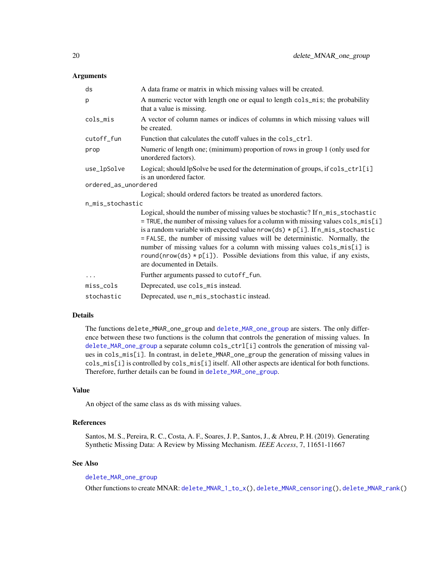### <span id="page-19-0"></span>**Arguments**

| ds                   | A data frame or matrix in which missing values will be created.                                                                                                                                                                                                                                                                                                                                                                                                                                                                       |
|----------------------|---------------------------------------------------------------------------------------------------------------------------------------------------------------------------------------------------------------------------------------------------------------------------------------------------------------------------------------------------------------------------------------------------------------------------------------------------------------------------------------------------------------------------------------|
| р                    | A numeric vector with length one or equal to length cols_mis; the probability<br>that a value is missing.                                                                                                                                                                                                                                                                                                                                                                                                                             |
| cols_mis             | A vector of column names or indices of columns in which missing values will<br>be created.                                                                                                                                                                                                                                                                                                                                                                                                                                            |
| cutoff_fun           | Function that calculates the cutoff values in the cols_ctrl.                                                                                                                                                                                                                                                                                                                                                                                                                                                                          |
| prop                 | Numeric of length one; (minimum) proportion of rows in group 1 (only used for<br>unordered factors).                                                                                                                                                                                                                                                                                                                                                                                                                                  |
| use_lpSolve          | Logical; should lpSolve be used for the determination of groups, if cols_ctrl[i]<br>is an unordered factor.                                                                                                                                                                                                                                                                                                                                                                                                                           |
| ordered_as_unordered |                                                                                                                                                                                                                                                                                                                                                                                                                                                                                                                                       |
|                      | Logical; should ordered factors be treated as unordered factors.                                                                                                                                                                                                                                                                                                                                                                                                                                                                      |
| n_mis_stochastic     |                                                                                                                                                                                                                                                                                                                                                                                                                                                                                                                                       |
|                      | Logical, should the number of missing values be stochastic? If n_mis_stochastic<br>= TRUE, the number of missing values for a column with missing values cols_mis[i]<br>is a random variable with expected value $nrow(ds) * p[i]$ . If $n\_mis\_stochastic$<br>= FALSE, the number of missing values will be deterministic. Normally, the<br>number of missing values for a column with missing values cols_mis[i] is<br>round(nrow(ds) $*$ p[i]). Possible deviations from this value, if any exists,<br>are documented in Details. |
| $\ddots$             | Further arguments passed to cutoff_fun.                                                                                                                                                                                                                                                                                                                                                                                                                                                                                               |
| miss_cols            | Deprecated, use cols_mis instead.                                                                                                                                                                                                                                                                                                                                                                                                                                                                                                     |
| stochastic           | Deprecated, use n_mis_stochastic instead.                                                                                                                                                                                                                                                                                                                                                                                                                                                                                             |

# Details

The functions delete\_MNAR\_one\_group and [delete\\_MAR\\_one\\_group](#page-9-1) are sisters. The only difference between these two functions is the column that controls the generation of missing values. In [delete\\_MAR\\_one\\_group](#page-9-1) a separate column cols\_ctrl[i] controls the generation of missing values in cols\_mis[i]. In contrast, in delete\_MNAR\_one\_group the generation of missing values in cols\_mis[i] is controlled by cols\_mis[i] itself. All other aspects are identical for both functions. Therefore, further details can be found in [delete\\_MAR\\_one\\_group](#page-9-1).

#### Value

An object of the same class as ds with missing values.

# References

Santos, M. S., Pereira, R. C., Costa, A. F., Soares, J. P., Santos, J., & Abreu, P. H. (2019). Generating Synthetic Missing Data: A Review by Missing Mechanism. *IEEE Access*, 7, 11651-11667

# See Also

[delete\\_MAR\\_one\\_group](#page-9-1)

Other functions to create MNAR: [delete\\_MNAR\\_1\\_to\\_x\(](#page-15-1)), [delete\\_MNAR\\_censoring\(](#page-17-1)), [delete\\_MNAR\\_rank\(](#page-20-1))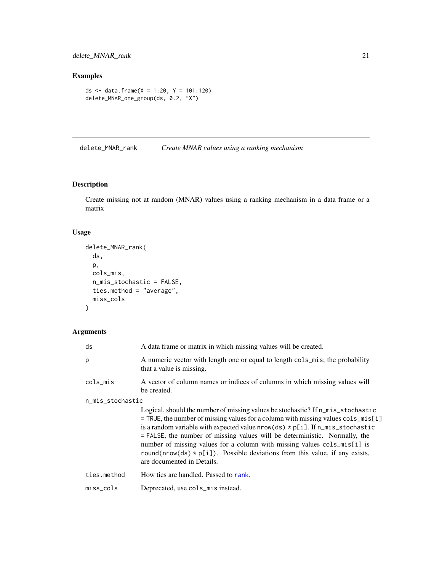# <span id="page-20-0"></span>delete\_MNAR\_rank 21

# Examples

```
ds <- data.frame(X = 1:20, Y = 101:120)
delete_MNAR_one_group(ds, 0.2, "X")
```
<span id="page-20-1"></span>delete\_MNAR\_rank *Create MNAR values using a ranking mechanism*

# Description

Create missing not at random (MNAR) values using a ranking mechanism in a data frame or a matrix

# Usage

```
delete_MNAR_rank(
  ds,
  p,
  cols_mis,
  n_mis_stochastic = FALSE,
  ties.method = "average",
  miss_cols
\mathcal{L}
```
# Arguments

| ds               | A data frame or matrix in which missing values will be created.                                                                                                                                                                                                                                                                                                                                                                                                                                                                         |  |
|------------------|-----------------------------------------------------------------------------------------------------------------------------------------------------------------------------------------------------------------------------------------------------------------------------------------------------------------------------------------------------------------------------------------------------------------------------------------------------------------------------------------------------------------------------------------|--|
| p                | A numeric vector with length one or equal to length cols_mis; the probability<br>that a value is missing.                                                                                                                                                                                                                                                                                                                                                                                                                               |  |
| cols_mis         | A vector of column names or indices of columns in which missing values will<br>be created.                                                                                                                                                                                                                                                                                                                                                                                                                                              |  |
| n_mis_stochastic |                                                                                                                                                                                                                                                                                                                                                                                                                                                                                                                                         |  |
|                  | Logical, should the number of missing values be stochastic? If n_mis_stochastic<br>$=$ TRUE, the number of missing values for a column with missing values cols_mis[i]<br>is a random variable with expected value $nrow(ds) * p[i]$ . If $n\_mis\_stochastic$<br>= FALSE, the number of missing values will be deterministic. Normally, the<br>number of missing values for a column with missing values cols_mis[i] is<br>round(nrow(ds) $*$ p[i]). Possible deviations from this value, if any exists,<br>are documented in Details. |  |
| ties.method      | How ties are handled. Passed to rank.                                                                                                                                                                                                                                                                                                                                                                                                                                                                                                   |  |
| miss_cols        | Deprecated, use cols_mis instead.                                                                                                                                                                                                                                                                                                                                                                                                                                                                                                       |  |
|                  |                                                                                                                                                                                                                                                                                                                                                                                                                                                                                                                                         |  |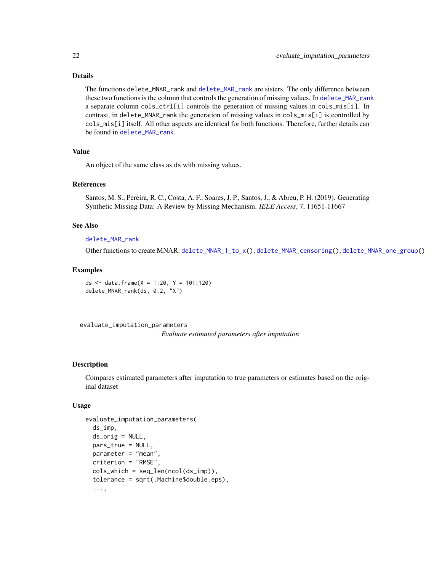#### <span id="page-21-0"></span>Details

The functions delete\_MNAR\_rank and [delete\\_MAR\\_rank](#page-11-1) are sisters. The only difference between these two functions is the column that controls the generation of missing values. In [delete\\_MAR\\_rank](#page-11-1) a separate column cols\_ctrl[i] controls the generation of missing values in cols\_mis[i]. In contrast, in delete\_MNAR\_rank the generation of missing values in cols\_mis[i] is controlled by cols\_mis[i] itself. All other aspects are identical for both functions. Therefore, further details can be found in [delete\\_MAR\\_rank](#page-11-1).

#### Value

An object of the same class as ds with missing values.

#### References

Santos, M. S., Pereira, R. C., Costa, A. F., Soares, J. P., Santos, J., & Abreu, P. H. (2019). Generating Synthetic Missing Data: A Review by Missing Mechanism. *IEEE Access*, 7, 11651-11667

#### See Also

#### [delete\\_MAR\\_rank](#page-11-1)

Other functions to create MNAR: [delete\\_MNAR\\_1\\_to\\_x\(](#page-15-1)), [delete\\_MNAR\\_censoring\(](#page-17-1)), [delete\\_MNAR\\_one\\_group\(](#page-18-1))

#### Examples

```
ds <- data.frame(X = 1:20, Y = 101:120)
delete_MNAR_rank(ds, 0.2, "X")
```
<span id="page-21-1"></span>evaluate\_imputation\_parameters

*Evaluate estimated parameters after imputation*

#### Description

Compares estimated parameters after imputation to true parameters or estimates based on the original dataset

#### Usage

```
evaluate_imputation_parameters(
  ds_imp,
  ds_orig = NULL,
  pars_true = NULL,
  parameter = "mean",
  criterion = "RMSE",
  \text{cols\_which} = \text{seq\_len}(\text{ncol}(ds\_imp)),tolerance = sqrt(.Machine$double.eps),
  ...,
```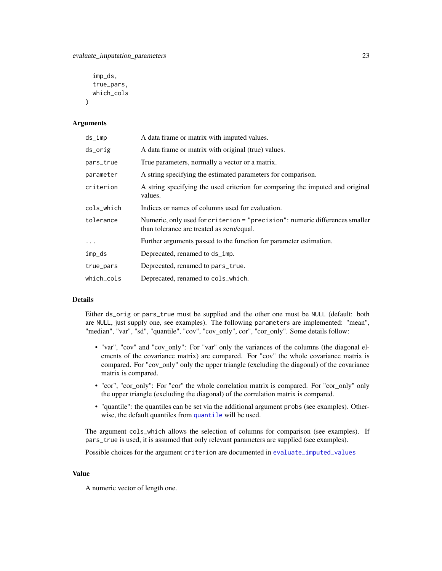```
imp_ds,
  true_pars,
  which_cols
\lambda
```
#### Arguments

| ds_imp     | A data frame or matrix with imputed values.                                                                              |
|------------|--------------------------------------------------------------------------------------------------------------------------|
| ds_orig    | A data frame or matrix with original (true) values.                                                                      |
| pars_true  | True parameters, normally a vector or a matrix.                                                                          |
| parameter  | A string specifying the estimated parameters for comparison.                                                             |
| criterion  | A string specifying the used criterion for comparing the imputed and original<br>values.                                 |
| cols_which | Indices or names of columns used for evaluation.                                                                         |
| tolerance  | Numeric, only used for criterion = "precision": numeric differences smaller<br>than tolerance are treated as zero/equal. |
|            | Further arguments passed to the function for parameter estimation.                                                       |
| imp_ds     | Deprecated, renamed to ds_imp.                                                                                           |
| true_pars  | Deprecated, renamed to pars_true.                                                                                        |
| which_cols | Deprecated, renamed to cols_which.                                                                                       |

#### Details

Either ds\_orig or pars\_true must be supplied and the other one must be NULL (default: both are NULL, just supply one, see examples). The following parameters are implemented: "mean", "median", "var", "sd", "quantile", "cov", "cov\_only", cor", "cor\_only". Some details follow:

- "var", "cov" and "cov\_only": For "var" only the variances of the columns (the diagonal elements of the covariance matrix) are compared. For "cov" the whole covariance matrix is compared. For "cov\_only" only the upper triangle (excluding the diagonal) of the covariance matrix is compared.
- "cor", "cor\_only": For "cor" the whole correlation matrix is compared. For "cor\_only" only the upper triangle (excluding the diagonal) of the correlation matrix is compared.
- "quantile": the quantiles can be set via the additional argument probs (see examples). Otherwise, the default quantiles from [quantile](#page-0-0) will be used.

The argument cols\_which allows the selection of columns for comparison (see examples). If pars\_true is used, it is assumed that only relevant parameters are supplied (see examples).

Possible choices for the argument criterion are documented in [evaluate\\_imputed\\_values](#page-23-1)

#### Value

A numeric vector of length one.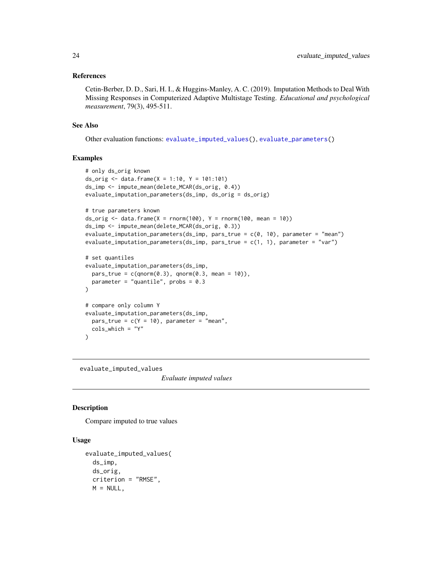#### <span id="page-23-0"></span>References

Cetin-Berber, D. D., Sari, H. I., & Huggins-Manley, A. C. (2019). Imputation Methods to Deal With Missing Responses in Computerized Adaptive Multistage Testing. *Educational and psychological measurement*, 79(3), 495-511.

#### See Also

Other evaluation functions: [evaluate\\_imputed\\_values\(](#page-23-1)), [evaluate\\_parameters\(](#page-26-1))

#### Examples

```
# only ds_orig known
ds_orig <- data.frame(X = 1:10, Y = 101:101)
ds_imp <- impute_mean(delete_MCAR(ds_orig, 0.4))
evaluate_imputation_parameters(ds_imp, ds_orig = ds_orig)
# true parameters known
ds_orig \le data.frame(X = rnorm(100), Y = rnorm(100, mean = 10))
ds_imp <- impute_mean(delete_MCAR(ds_orig, 0.3))
evaluate_imputation_parameters(ds_imp, pars_true = c(0, 10), parameter = "mean")
evaluate_imputation_parameters(ds_imp, pars_true = c(1, 1), parameter = "var")
# set quantiles
evaluate_imputation_parameters(ds_imp,
 pars_true = c(qnorm(0.3), qnorm(0.3, mean = 10)),parameter = "quantile", probs = 0.3\mathcal{L}# compare only column Y
evaluate_imputation_parameters(ds_imp,
 pars\_true = c(Y = 10), parameter = "mean",cols_which = "Y"
\mathcal{L}
```
<span id="page-23-1"></span>evaluate\_imputed\_values

*Evaluate imputed values*

# Description

Compare imputed to true values

# Usage

```
evaluate_imputed_values(
  ds_imp,
  ds_orig,
  criterion = "RMSE",
  M = NULL,
```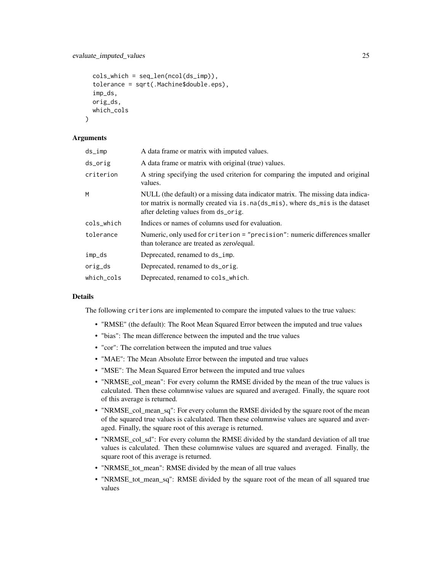# evaluate\_imputed\_values 25

```
\text{cols\_which} = \text{seq\_len}(\text{ncol}(ds\_imp)),tolerance = sqrt(.Machine$double.eps),
imp_ds,
orig_ds,
which_cols
```
# **Arguments**

)

| $ds_imp$   | A data frame or matrix with imputed values.                                                                                                                                                              |
|------------|----------------------------------------------------------------------------------------------------------------------------------------------------------------------------------------------------------|
| ds_orig    | A data frame or matrix with original (true) values.                                                                                                                                                      |
| criterion  | A string specifying the used criterion for comparing the imputed and original<br>values.                                                                                                                 |
| M          | NULL (the default) or a missing data indicator matrix. The missing data indica-<br>tor matrix is normally created via is. na(ds_mis), where ds_mis is the dataset<br>after deleting values from ds_orig. |
| cols_which | Indices or names of columns used for evaluation.                                                                                                                                                         |
| tolerance  | Numeric, only used for criterion = "precision": numeric differences smaller<br>than tolerance are treated as zero/equal.                                                                                 |
| imp_ds     | Deprecated, renamed to ds_imp.                                                                                                                                                                           |
| orig_ds    | Deprecated, renamed to ds_orig.                                                                                                                                                                          |
| which cols | Deprecated, renamed to cols_which.                                                                                                                                                                       |

#### Details

The following criterions are implemented to compare the imputed values to the true values:

- "RMSE" (the default): The Root Mean Squared Error between the imputed and true values
- "bias": The mean difference between the imputed and the true values
- "cor": The correlation between the imputed and true values
- "MAE": The Mean Absolute Error between the imputed and true values
- "MSE": The Mean Squared Error between the imputed and true values
- "NRMSE\_col\_mean": For every column the RMSE divided by the mean of the true values is calculated. Then these columnwise values are squared and averaged. Finally, the square root of this average is returned.
- "NRMSE\_col\_mean\_sq": For every column the RMSE divided by the square root of the mean of the squared true values is calculated. Then these columnwise values are squared and averaged. Finally, the square root of this average is returned.
- "NRMSE\_col\_sd": For every column the RMSE divided by the standard deviation of all true values is calculated. Then these columnwise values are squared and averaged. Finally, the square root of this average is returned.
- "NRMSE\_tot\_mean": RMSE divided by the mean of all true values
- "NRMSE\_tot\_mean\_sq": RMSE divided by the square root of the mean of all squared true values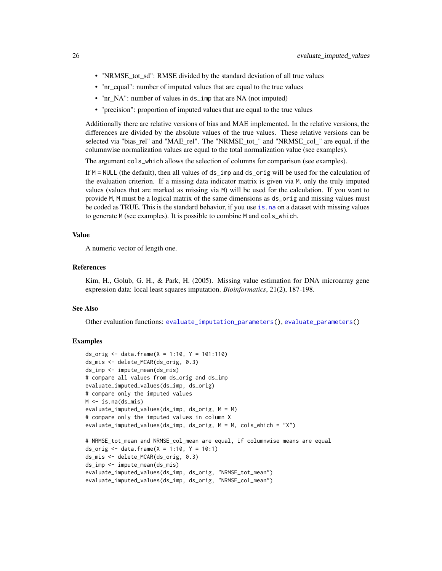- <span id="page-25-0"></span>• "NRMSE\_tot\_sd": RMSE divided by the standard deviation of all true values
- "nr\_equal": number of imputed values that are equal to the true values
- "nr\_NA": number of values in ds\_imp that are NA (not imputed)
- "precision": proportion of imputed values that are equal to the true values

Additionally there are relative versions of bias and MAE implemented. In the relative versions, the differences are divided by the absolute values of the true values. These relative versions can be selected via "bias\_rel" and "MAE\_rel". The "NRMSE\_tot\_" and "NRMSE\_col\_" are equal, if the columnwise normalization values are equal to the total normalization value (see examples).

The argument cols\_which allows the selection of columns for comparison (see examples).

If M = NULL (the default), then all values of ds\_imp and ds\_orig will be used for the calculation of the evaluation criterion. If a missing data indicator matrix is given via M, only the truly imputed values (values that are marked as missing via M) will be used for the calculation. If you want to provide M, M must be a logical matrix of the same dimensions as ds\_orig and missing values must be coded as TRUE. This is the standard behavior, if you use is, na on a dataset with missing values to generate M (see examples). It is possible to combine M and cols\_which.

# Value

A numeric vector of length one.

#### References

Kim, H., Golub, G. H., & Park, H. (2005). Missing value estimation for DNA microarray gene expression data: local least squares imputation. *Bioinformatics*, 21(2), 187-198.

#### See Also

Other evaluation functions: [evaluate\\_imputation\\_parameters\(](#page-21-1)), [evaluate\\_parameters\(](#page-26-1))

# **Examples**

```
ds_orig <- data.frame(X = 1:10, Y = 101:110)
ds_mis <- delete_MCAR(ds_orig, 0.3)
ds_imp <- impute_mean(ds_mis)
# compare all values from ds_orig and ds_imp
evaluate_imputed_values(ds_imp, ds_orig)
# compare only the imputed values
M <- is.na(ds_mis)
evaluate_imputed_values(ds_imp, ds_orig, M = M)
# compare only the imputed values in column X
evaluate_imputed_values(ds_imp, ds_orig, M = M, cols_which = "X")
# NRMSE_tot_mean and NRMSE_col_mean are equal, if columnwise means are equal
ds_orig \le data.frame(X = 1:10, Y = 10:1)
ds_mis <- delete_MCAR(ds_orig, 0.3)
ds_imp <- impute_mean(ds_mis)
evaluate_imputed_values(ds_imp, ds_orig, "NRMSE_tot_mean")
evaluate_imputed_values(ds_imp, ds_orig, "NRMSE_col_mean")
```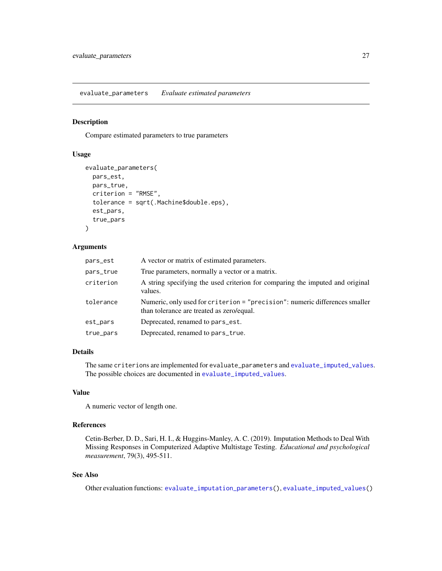<span id="page-26-1"></span><span id="page-26-0"></span>evaluate\_parameters *Evaluate estimated parameters*

#### Description

Compare estimated parameters to true parameters

# Usage

```
evaluate_parameters(
 pars_est,
 pars_true,
  criterion = "RMSE",
  tolerance = sqrt(.Machine$double.eps),
  est_pars,
  true_pars
\lambda
```
#### Arguments

| pars_est  | A vector or matrix of estimated parameters.                                                                              |
|-----------|--------------------------------------------------------------------------------------------------------------------------|
| pars_true | True parameters, normally a vector or a matrix.                                                                          |
| criterion | A string specifying the used criterion for comparing the imputed and original<br>values.                                 |
| tolerance | Numeric, only used for criterion = "precision": numeric differences smaller<br>than tolerance are treated as zero/equal. |
| est_pars  | Deprecated, renamed to pars_est.                                                                                         |
| true_pars | Deprecated, renamed to pars_true.                                                                                        |
|           |                                                                                                                          |

#### Details

The same criterions are implemented for evaluate\_parameters and [evaluate\\_imputed\\_values](#page-23-1). The possible choices are documented in [evaluate\\_imputed\\_values](#page-23-1).

# Value

A numeric vector of length one.

# References

Cetin-Berber, D. D., Sari, H. I., & Huggins-Manley, A. C. (2019). Imputation Methods to Deal With Missing Responses in Computerized Adaptive Multistage Testing. *Educational and psychological measurement*, 79(3), 495-511.

# See Also

Other evaluation functions: [evaluate\\_imputation\\_parameters\(](#page-21-1)), [evaluate\\_imputed\\_values\(](#page-23-1))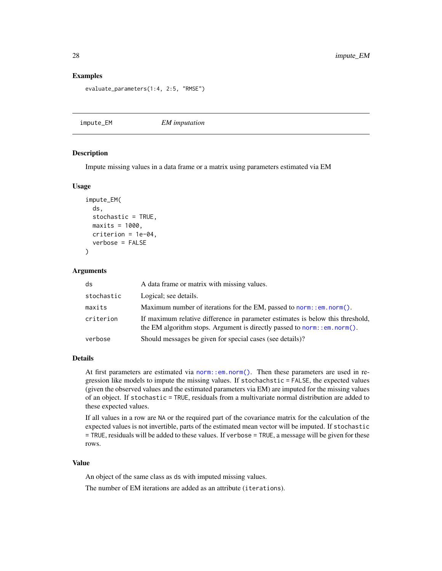#### Examples

```
evaluate_parameters(1:4, 2:5, "RMSE")
```
impute\_EM *EM imputation*

#### Description

Impute missing values in a data frame or a matrix using parameters estimated via EM

#### Usage

```
impute_EM(
 ds,
  stochastic = TRUE,
 maxits = 1000,
 criterion = 1e-04,
  verbose = FALSE
```
#### Arguments

)

| ds         | A data frame or matrix with missing values.                                                                                                                    |
|------------|----------------------------------------------------------------------------------------------------------------------------------------------------------------|
| stochastic | Logical; see details.                                                                                                                                          |
| maxits     | Maximum number of iterations for the EM, passed to norm: : $em. norm()$ .                                                                                      |
| criterion  | If maximum relative difference in parameter estimates is below this threshold,<br>the EM algorithm stops. Argument is directly passed to norm: : $em.norm()$ . |
| verbose    | Should messages be given for special cases (see details)?                                                                                                      |

# Details

At first parameters are estimated via [norm::em.norm\(\)](#page-0-0). Then these parameters are used in regression like models to impute the missing values. If stochachstic = FALSE, the expected values (given the observed values and the estimated parameters via EM) are imputed for the missing values of an object. If stochastic = TRUE, residuals from a multivariate normal distribution are added to these expected values.

If all values in a row are NA or the required part of the covariance matrix for the calculation of the expected values is not invertible, parts of the estimated mean vector will be imputed. If stochastic = TRUE, residuals will be added to these values. If verbose = TRUE, a message will be given for these rows.

# Value

An object of the same class as ds with imputed missing values.

The number of EM iterations are added as an attribute (iterations).

<span id="page-27-0"></span>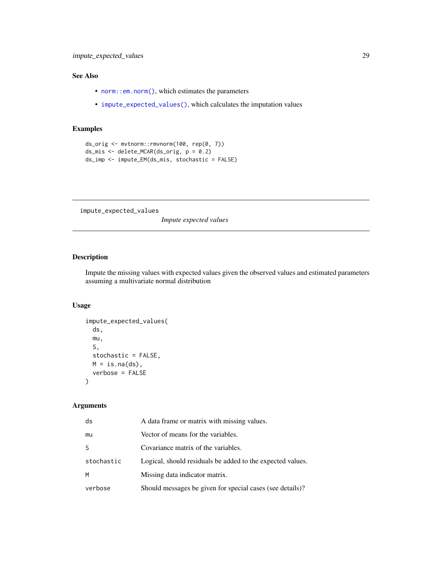# <span id="page-28-0"></span>See Also

- [norm::em.norm\(\)](#page-0-0), which estimates the parameters
- [impute\\_expected\\_values\(\)](#page-28-1), which calculates the imputation values

# Examples

```
ds_orig <- mvtnorm::rmvnorm(100, rep(0, 7))
ds_mis <- delete_MCAR(ds_orig, p = 0.2)
ds_imp <- impute_EM(ds_mis, stochastic = FALSE)
```
<span id="page-28-1"></span>impute\_expected\_values

*Impute expected values*

# Description

Impute the missing values with expected values given the observed values and estimated parameters assuming a multivariate normal distribution

# Usage

```
impute_expected_values(
  ds,
  mu,
 S,
  stochastic = FALSE,
 M = is.na(ds),
  verbose = FALSE
\mathcal{L}
```
# Arguments

| ds         | A data frame or matrix with missing values.                |
|------------|------------------------------------------------------------|
| mu         | Vector of means for the variables.                         |
| S          | Covariance matrix of the variables.                        |
| stochastic | Logical, should residuals be added to the expected values. |
| M          | Missing data indicator matrix.                             |
| verbose    | Should messages be given for special cases (see details)?  |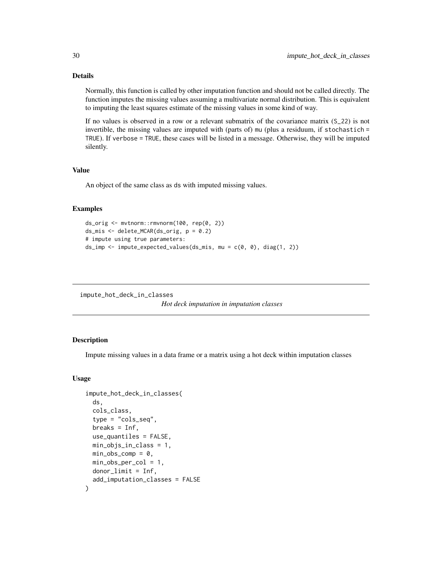# Details

Normally, this function is called by other imputation function and should not be called directly. The function imputes the missing values assuming a multivariate normal distribution. This is equivalent to imputing the least squares estimate of the missing values in some kind of way.

If no values is observed in a row or a relevant submatrix of the covariance matrix (S\_22) is not invertible, the missing values are imputed with (parts of) mu (plus a residuum, if stochastich = TRUE). If verbose = TRUE, these cases will be listed in a message. Otherwise, they will be imputed silently.

# Value

An object of the same class as ds with imputed missing values.

# Examples

```
ds_orig <- mvtnorm::rmvnorm(100, rep(0, 2))
ds_mis <- delete_MCAR(ds_orig, p = 0.2)
# impute using true parameters:
ds_imp \le impute_expected_values(ds_mis, mu = c(0, 0), diag(1, 2))
```
impute\_hot\_deck\_in\_classes

```
Hot deck imputation in imputation classes
```
#### Description

Impute missing values in a data frame or a matrix using a hot deck within imputation classes

#### Usage

```
impute_hot_deck_in_classes(
 ds,
  cols_class,
  type = "cols_seq",
  breaks = Inf,
  use_quantiles = FALSE,
 min_objs_in_class = 1,
 min\_obs\_comp = 0,
 min\_obs\_per\_col = 1,
 donor_limit = Inf,
  add_imputation_classes = FALSE
)
```
<span id="page-29-0"></span>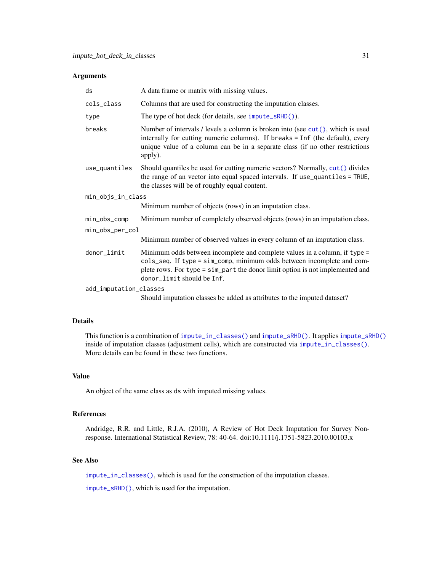#### <span id="page-30-0"></span>Arguments

| ds                     | A data frame or matrix with missing values.                                                                                                                                                                                                                         |  |
|------------------------|---------------------------------------------------------------------------------------------------------------------------------------------------------------------------------------------------------------------------------------------------------------------|--|
| cols_class             | Columns that are used for constructing the imputation classes.                                                                                                                                                                                                      |  |
| type                   | The type of hot deck (for details, see impute_sRHD()).                                                                                                                                                                                                              |  |
| breaks                 | Number of intervals / levels a column is broken into (see $cut()$ , which is used<br>internally for cutting numeric columns). If breaks = Inf (the default), every<br>unique value of a column can be in a separate class (if no other restrictions<br>apply).      |  |
| use_quantiles          | Should quantiles be used for cutting numeric vectors? Normally, cut() divides<br>the range of an vector into equal spaced intervals. If use_quantiles = TRUE,<br>the classes will be of roughly equal content.                                                      |  |
| min_objs_in_class      |                                                                                                                                                                                                                                                                     |  |
|                        | Minimum number of objects (rows) in an imputation class.                                                                                                                                                                                                            |  |
| min_obs_comp           | Minimum number of completely observed objects (rows) in an imputation class.                                                                                                                                                                                        |  |
| min_obs_per_col        |                                                                                                                                                                                                                                                                     |  |
|                        | Minimum number of observed values in every column of an imputation class.                                                                                                                                                                                           |  |
| donor_limit            | Minimum odds between incomplete and complete values in a column, if type =<br>cols_seq. If type = sim_comp, minimum odds between incomplete and com-<br>plete rows. For type = sim_part the donor limit option is not implemented and<br>donor_limit should be Inf. |  |
| add_imputation_classes |                                                                                                                                                                                                                                                                     |  |
|                        | Should imputation classes be added as attributes to the imputed dataset?                                                                                                                                                                                            |  |

# Details

This function is a combination of [impute\\_in\\_classes\(\)](#page-31-1) and [impute\\_sRHD\(\)](#page-42-1). It applies [impute\\_sRHD\(\)](#page-42-1) inside of imputation classes (adjustment cells), which are constructed via [impute\\_in\\_classes\(\)](#page-31-1). More details can be found in these two functions.

#### Value

An object of the same class as ds with imputed missing values.

#### References

Andridge, R.R. and Little, R.J.A. (2010), A Review of Hot Deck Imputation for Survey Nonresponse. International Statistical Review, 78: 40-64. doi:10.1111/j.1751-5823.2010.00103.x

# See Also

[impute\\_in\\_classes\(\)](#page-31-1), which is used for the construction of the imputation classes.

[impute\\_sRHD\(\)](#page-42-1), which is used for the imputation.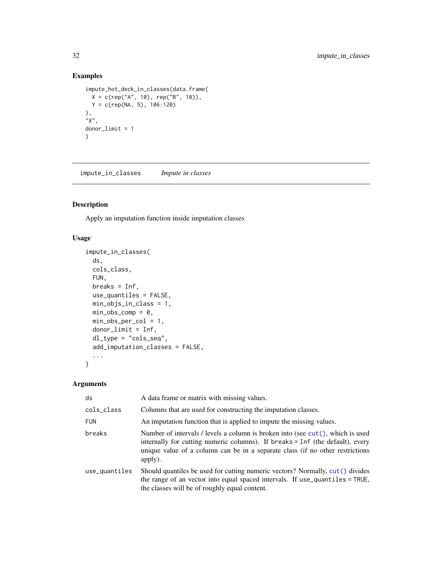# Examples

```
impute_hot_deck_in_classes(data.frame(
  X = c(rep("A", 10), rep("B", 10)),Y = c(rep(NA, 5), 106:120)
),
"X",
donor_limit = 1
\mathcal{L}
```
<span id="page-31-1"></span>impute\_in\_classes *Impute in classes*

# Description

Apply an imputation function inside imputation classes

# Usage

```
impute_in_classes(
  ds,
  cols_class,
  FUN,
 breaks = Inf,
 use_quantiles = FALSE,
 min_objs_in_class = 1,
 min\_obs\_comp = 0,
 min_obs_per_col = 1,
 donor_limit = Inf,
  dl_type = "cols_seq",
  add_imputation_classes = FALSE,
  ...
\mathcal{L}
```
# Arguments

| ds            | A data frame or matrix with missing values.                                                                                                                                                                                                                    |
|---------------|----------------------------------------------------------------------------------------------------------------------------------------------------------------------------------------------------------------------------------------------------------------|
| cols_class    | Columns that are used for constructing the imputation classes.                                                                                                                                                                                                 |
| <b>FUN</b>    | An imputation function that is applied to impute the missing values.                                                                                                                                                                                           |
| breaks        | Number of intervals / levels a column is broken into (see $cut()$ , which is used<br>internally for cutting numeric columns). If breaks = Inf (the default), every<br>unique value of a column can be in a separate class (if no other restrictions<br>apply). |
| use_quantiles | Should quantiles be used for cutting numeric vectors? Normally, cut () divides<br>the range of an vector into equal spaced intervals. If use_quantiles = TRUE,<br>the classes will be of roughly equal content.                                                |

<span id="page-31-0"></span>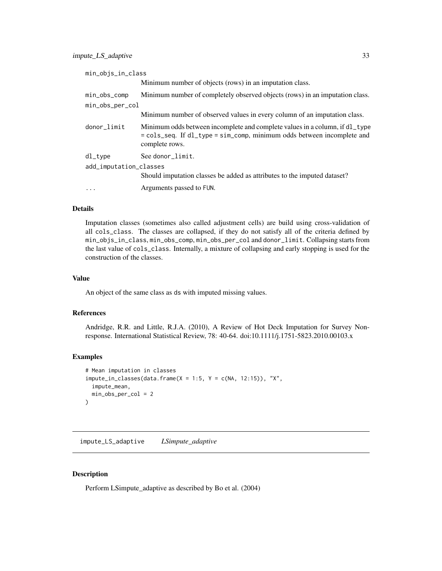<span id="page-32-0"></span>

| min_objs_in_class      |                                                                                                                                                                         |
|------------------------|-------------------------------------------------------------------------------------------------------------------------------------------------------------------------|
|                        | Minimum number of objects (rows) in an imputation class.                                                                                                                |
| min_obs_comp           | Minimum number of completely observed objects (rows) in an imputation class.                                                                                            |
| min_obs_per_col        |                                                                                                                                                                         |
|                        | Minimum number of observed values in every column of an imputation class.                                                                                               |
| donor_limit            | Minimum odds between incomplete and complete values in a column, if d1_type<br>= cols_seq. If dl_type = sim_comp, minimum odds between incomplete and<br>complete rows. |
| dl_type                | See donor limit.                                                                                                                                                        |
| add_imputation_classes |                                                                                                                                                                         |
|                        | Should imputation classes be added as attributes to the imputed dataset?                                                                                                |
| $\ddotsc$              | Arguments passed to FUN.                                                                                                                                                |
|                        |                                                                                                                                                                         |

#### Details

Imputation classes (sometimes also called adjustment cells) are build using cross-validation of all cols\_class. The classes are collapsed, if they do not satisfy all of the criteria defined by min\_objs\_in\_class, min\_obs\_comp, min\_obs\_per\_col and donor\_limit. Collapsing starts from the last value of cols\_class. Internally, a mixture of collapsing and early stopping is used for the construction of the classes.

# Value

An object of the same class as ds with imputed missing values.

#### References

Andridge, R.R. and Little, R.J.A. (2010), A Review of Hot Deck Imputation for Survey Nonresponse. International Statistical Review, 78: 40-64. doi:10.1111/j.1751-5823.2010.00103.x

# Examples

```
# Mean imputation in classes
impute_in_classes(data-frame(X = 1:5, Y = c(NA, 12:15)), "X",impute_mean,
 min_obs_per_col = 2
\mathcal{L}
```
<span id="page-32-1"></span>impute\_LS\_adaptive *LSimpute\_adaptive*

#### Description

Perform LSimpute\_adaptive as described by Bo et al. (2004)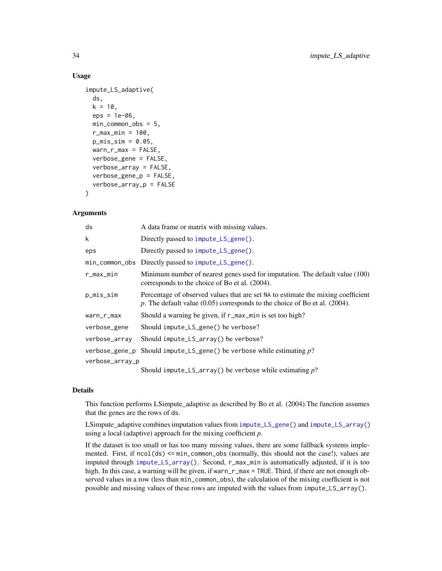#### Usage

```
impute_LS_adaptive(
  ds,
 k = 10,
 eps = 1e-06,
 min_common_obs = 5,
  r_{max\_min} = 100,
 p_{miss\_sim} = 0.05,warm_r_max = FALSE,verbose_gene = FALSE,
  verbose_array = FALSE,
  verbose_gene_p = FALSE,
  verbose_array_p = FALSE
\lambda
```
#### **Arguments**

| ds              | A data frame or matrix with missing values.                                                                                                                         |
|-----------------|---------------------------------------------------------------------------------------------------------------------------------------------------------------------|
| k               | Directly passed to impute_LS_gene().                                                                                                                                |
| eps             | Directly passed to impute_LS_gene().                                                                                                                                |
|                 | min_common_obs Directly passed to impute_LS_gene().                                                                                                                 |
| r_max_min       | Minimum number of nearest genes used for imputation. The default value (100)<br>corresponds to the choice of Bo et al. (2004).                                      |
| p_mis_sim       | Percentage of observed values that are set NA to estimate the mixing coefficient<br>p. The default value $(0.05)$ corresponds to the choice of Bo et al. $(2004)$ . |
| warn_r_max      | Should a warning be given, if r_max_min is set too high?                                                                                                            |
| verbose_gene    | Should impute_LS_gene() be verbose?                                                                                                                                 |
| verbose_array   | Should impute_LS_array() be verbose?                                                                                                                                |
| verbose_gene_p  | Should impute_LS_gene() be verbose while estimating $p$ ?                                                                                                           |
| verbose_array_p |                                                                                                                                                                     |
|                 | Should impute_LS_array() be verbose while estimating $p$ ?                                                                                                          |

#### Details

This function performs LSimpute\_adaptive as described by Bo et al. (2004).The function assumes that the genes are the rows of ds.

LSimpute\_adaptive combines imputation values from [impute\\_LS\\_gene\(\)](#page-37-1) and [impute\\_LS\\_array\(\)](#page-34-1) using a local (adaptive) approach for the mixing coefficient *p*.

If the dataset is too small or has too many missing values, there are some fallback systems implemented. First, if  $ncol(ds) \leq min_{common} \leq obs$  (normally, this should not the case!), values are imputed through [impute\\_LS\\_array\(\)](#page-34-1). Second, r\_max\_min is automatically adjusted, if it is too high. In this case, a warning will be given, if warn\_r\_max = TRUE. Third, if there are not enough observed values in a row (less than min\_common\_obs), the calculation of the mixing coefficient is not possible and missing values of these rows are imputed with the values from impute\_LS\_array().

<span id="page-33-0"></span>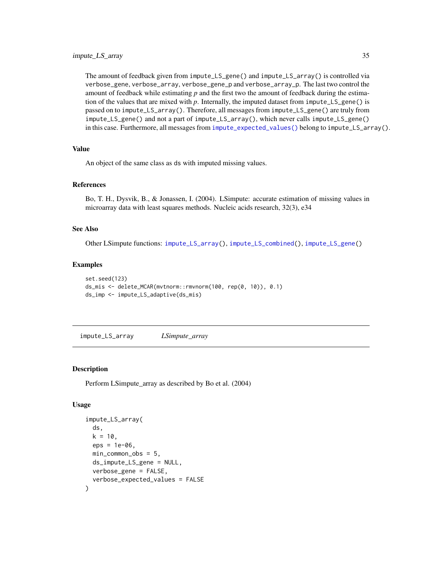<span id="page-34-0"></span>The amount of feedback given from impute\_LS\_gene() and impute\_LS\_array() is controlled via verbose\_gene, verbose\_array, verbose\_gene\_p and verbose\_array\_p. The last two control the amount of feedback while estimating *p* and the first two the amount of feedback during the estimation of the values that are mixed with *p*. Internally, the imputed dataset from impute\_LS\_gene() is passed on to impute\_LS\_array(). Therefore, all messages from impute\_LS\_gene() are truly from impute\_LS\_gene() and not a part of impute\_LS\_array(), which never calls impute\_LS\_gene() in this case. Furthermore, all messages from [impute\\_expected\\_values\(\)](#page-28-1) belong to impute\_LS\_array().

#### Value

An object of the same class as ds with imputed missing values.

#### References

Bo, T. H., Dysvik, B., & Jonassen, I. (2004). LSimpute: accurate estimation of missing values in microarray data with least squares methods. Nucleic acids research, 32(3), e34

#### See Also

Other LSimpute functions: [impute\\_LS\\_array\(](#page-34-1)), [impute\\_LS\\_combined\(](#page-36-1)), [impute\\_LS\\_gene\(](#page-37-1))

#### Examples

```
set.seed(123)
ds_mis <- delete_MCAR(mvtnorm::rmvnorm(100, rep(0, 10)), 0.1)
ds_imp <- impute_LS_adaptive(ds_mis)
```
<span id="page-34-1"></span>impute\_LS\_array *LSimpute\_array*

#### **Description**

Perform LSimpute\_array as described by Bo et al. (2004)

#### Usage

```
impute_LS_array(
  ds,
  k = 10,
  eps = 1e-06.
 min_common_obs = 5,
  ds_impute_LS_gene = NULL,
  verbose_gene = FALSE,
  verbose_expected_values = FALSE
)
```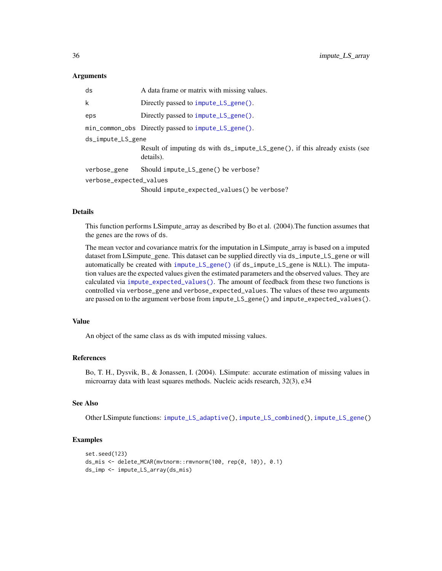#### Arguments

| ds                      | A data frame or matrix with missing values.                                              |
|-------------------------|------------------------------------------------------------------------------------------|
| k                       | Directly passed to impute_LS_gene().                                                     |
| eps                     | Directly passed to impute_LS_gene().                                                     |
|                         | min_common_obs Directly passed to impute_LS_gene().                                      |
| ds_impute_LS_gene       |                                                                                          |
|                         | Result of imputing ds with ds_impute_LS_gene(), if this already exists (see<br>details). |
| verbose_gene            | Should impute_LS_gene() be verbose?                                                      |
| verbose_expected_values |                                                                                          |
|                         | Should impute_expected_values() be verbose?                                              |

# Details

This function performs LSimpute\_array as described by Bo et al. (2004).The function assumes that the genes are the rows of ds.

The mean vector and covariance matrix for the imputation in LSimpute\_array is based on a imputed dataset from LSimpute\_gene. This dataset can be supplied directly via ds\_impute\_LS\_gene or will automatically be created with [impute\\_LS\\_gene\(\)](#page-37-1) (if ds\_impute\_LS\_gene is NULL). The imputation values are the expected values given the estimated parameters and the observed values. They are calculated via [impute\\_expected\\_values\(\)](#page-28-1). The amount of feedback from these two functions is controlled via verbose\_gene and verbose\_expected\_values. The values of these two arguments are passed on to the argument verbose from impute\_LS\_gene() and impute\_expected\_values().

#### Value

An object of the same class as ds with imputed missing values.

#### References

Bo, T. H., Dysvik, B., & Jonassen, I. (2004). LSimpute: accurate estimation of missing values in microarray data with least squares methods. Nucleic acids research, 32(3), e34

# See Also

Other LSimpute functions: [impute\\_LS\\_adaptive\(](#page-32-1)), [impute\\_LS\\_combined\(](#page-36-1)), [impute\\_LS\\_gene\(](#page-37-1))

# Examples

```
set.seed(123)
ds_mis <- delete_MCAR(mvtnorm::rmvnorm(100, rep(0, 10)), 0.1)
ds_imp <- impute_LS_array(ds_mis)
```
<span id="page-35-0"></span>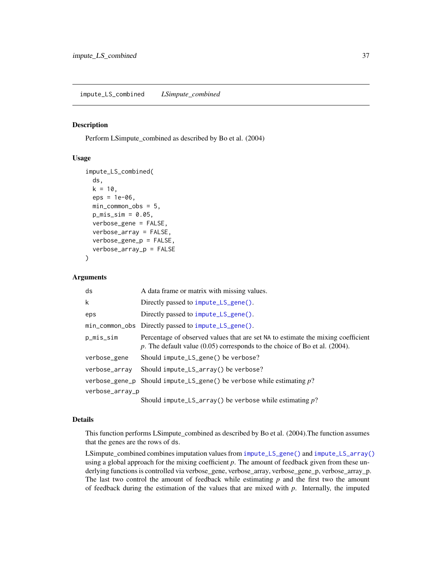#### <span id="page-36-1"></span><span id="page-36-0"></span>Description

Perform LSimpute\_combined as described by Bo et al. (2004)

### Usage

```
impute_LS_combined(
  ds,
  k = 10.
  eps = 1e-06,
  min_common_obs = 5,
  p_{miss\_sim} = 0.05,
  verbose_gene = FALSE,
  verbose_array = FALSE,
  verbose_gene_p = FALSE,
  verbose_array_p = FALSE
\mathcal{E}
```
#### Arguments

| ds              | A data frame or matrix with missing values.                                                                                                                         |
|-----------------|---------------------------------------------------------------------------------------------------------------------------------------------------------------------|
| k               | Directly passed to impute_LS_gene().                                                                                                                                |
| eps             | Directly passed to impute_LS_gene().                                                                                                                                |
|                 | min_common_obs Directly passed to impute_LS_gene().                                                                                                                 |
| p_mis_sim       | Percentage of observed values that are set NA to estimate the mixing coefficient<br>p. The default value $(0.05)$ corresponds to the choice of Bo et al. $(2004)$ . |
| verbose_gene    | Should impute_LS_gene() be verbose?                                                                                                                                 |
| verbose_array   | Should impute_ $LS$ _array() be verbose?                                                                                                                            |
| verbose_gene_p  | Should impute_LS_gene() be verbose while estimating $p$ ?                                                                                                           |
| verbose_array_p |                                                                                                                                                                     |
|                 |                                                                                                                                                                     |

#### Should impute\_LS\_array() be verbose while estimating *p*?

# Details

This function performs LSimpute\_combined as described by Bo et al. (2004).The function assumes that the genes are the rows of ds.

LSimpute\_combined combines imputation values from [impute\\_LS\\_gene\(\)](#page-37-1) and [impute\\_LS\\_array\(\)](#page-34-1) using a global approach for the mixing coefficient *p*. The amount of feedback given from these underlying functions is controlled via verbose\_gene, verbose\_array, verbose\_gene\_p, verbose\_array\_p. The last two control the amount of feedback while estimating *p* and the first two the amount of feedback during the estimation of the values that are mixed with *p*. Internally, the imputed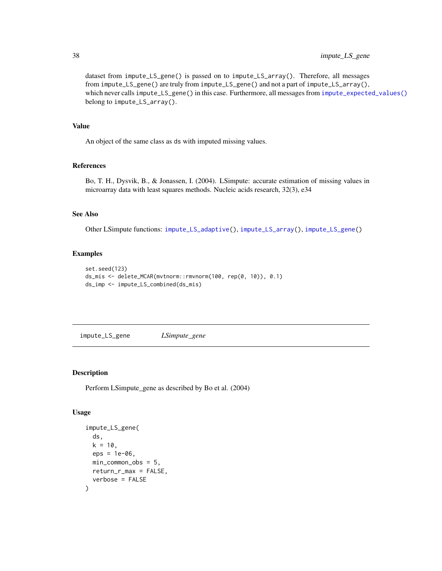dataset from impute\_LS\_gene() is passed on to impute\_LS\_array(). Therefore, all messages from impute\_LS\_gene() are truly from impute\_LS\_gene() and not a part of impute\_LS\_array(), which never calls impute\_LS\_gene() in this case. Furthermore, all messages from [impute\\_expected\\_values\(\)](#page-28-1) belong to impute\_LS\_array().

#### Value

An object of the same class as ds with imputed missing values.

# References

Bo, T. H., Dysvik, B., & Jonassen, I. (2004). LSimpute: accurate estimation of missing values in microarray data with least squares methods. Nucleic acids research, 32(3), e34

# See Also

Other LSimpute functions: [impute\\_LS\\_adaptive\(](#page-32-1)), [impute\\_LS\\_array\(](#page-34-1)), [impute\\_LS\\_gene\(](#page-37-1))

# Examples

```
set.seed(123)
ds_mis <- delete_MCAR(mvtnorm::rmvnorm(100, rep(0, 10)), 0.1)
ds_imp <- impute_LS_combined(ds_mis)
```
<span id="page-37-1"></span>impute\_LS\_gene *LSimpute\_gene*

### Description

Perform LSimpute\_gene as described by Bo et al. (2004)

#### Usage

```
impute_LS_gene(
  ds,
  k = 10.
  eps = 1e-06,
  min_{\text{common} \text{obs}} = 5,
  return_r_max = FALSE,
  verbose = FALSE
)
```
<span id="page-37-0"></span>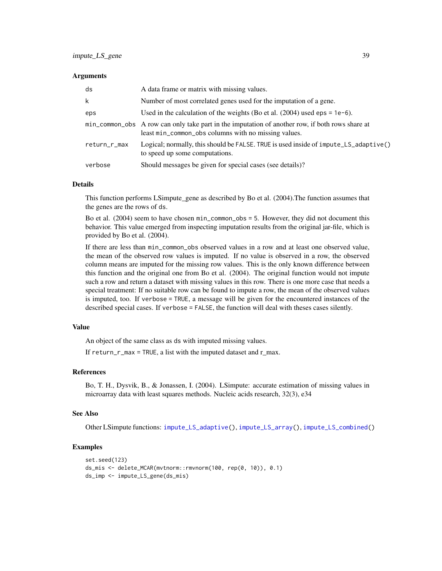#### <span id="page-38-0"></span>**Arguments**

| ds           | A data frame or matrix with missing values.                                                                                                             |
|--------------|---------------------------------------------------------------------------------------------------------------------------------------------------------|
| k            | Number of most correlated genes used for the imputation of a gene.                                                                                      |
| eps          | Used in the calculation of the weights (Bo et al. $(2004)$ used eps = 1e-6).                                                                            |
|              | min_common_obs A row can only take part in the imputation of another row, if both rows share at<br>least min_common_obs columns with no missing values. |
| return_r_max | [10] Logical; normally, this should be FALSE. TRUE is used inside of impute_LS_adaptive()<br>to speed up some computations.                             |
| verbose      | Should messages be given for special cases (see details)?                                                                                               |

#### Details

This function performs LSimpute\_gene as described by Bo et al. (2004).The function assumes that the genes are the rows of ds.

Bo et al. (2004) seem to have chosen min\_common\_obs = 5. However, they did not document this behavior. This value emerged from inspecting imputation results from the original jar-file, which is provided by Bo et al. (2004).

If there are less than min\_common\_obs observed values in a row and at least one observed value, the mean of the observed row values is imputed. If no value is observed in a row, the observed column means are imputed for the missing row values. This is the only known difference between this function and the original one from Bo et al. (2004). The original function would not impute such a row and return a dataset with missing values in this row. There is one more case that needs a special treatment: If no suitable row can be found to impute a row, the mean of the observed values is imputed, too. If verbose = TRUE, a message will be given for the encountered instances of the described special cases. If verbose = FALSE, the function will deal with theses cases silently.

#### Value

An object of the same class as ds with imputed missing values.

If return\_r\_max = TRUE, a list with the imputed dataset and  $r$ \_max.

#### References

Bo, T. H., Dysvik, B., & Jonassen, I. (2004). LSimpute: accurate estimation of missing values in microarray data with least squares methods. Nucleic acids research, 32(3), e34

# See Also

Other LSimpute functions: [impute\\_LS\\_adaptive\(](#page-32-1)), [impute\\_LS\\_array\(](#page-34-1)), [impute\\_LS\\_combined\(](#page-36-1))

#### Examples

```
set.seed(123)
ds_mis <- delete_MCAR(mvtnorm::rmvnorm(100, rep(0, 10)), 0.1)
ds_imp <- impute_LS_gene(ds_mis)
```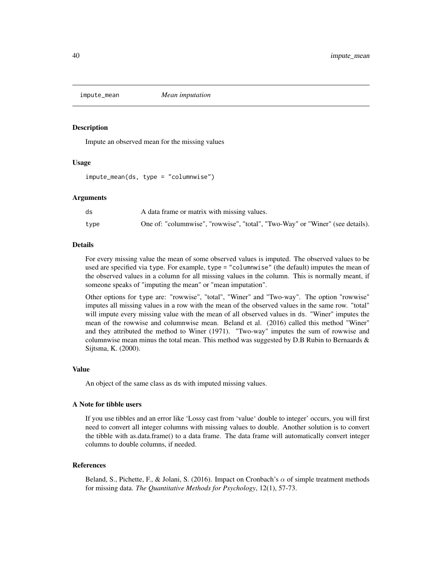<span id="page-39-1"></span><span id="page-39-0"></span>

#### Description

Impute an observed mean for the missing values

#### Usage

impute\_mean(ds, type = "columnwise")

#### Arguments

| ds   | A data frame or matrix with missing values.                                   |
|------|-------------------------------------------------------------------------------|
| type | One of: "columnwise", "rowwise", "total", "Two-Way" or "Winer" (see details). |

#### Details

For every missing value the mean of some observed values is imputed. The observed values to be used are specified via type. For example, type = "columnwise" (the default) imputes the mean of the observed values in a column for all missing values in the column. This is normally meant, if someone speaks of "imputing the mean" or "mean imputation".

Other options for type are: "rowwise", "total", "Winer" and "Two-way". The option "rowwise" imputes all missing values in a row with the mean of the observed values in the same row. "total" will impute every missing value with the mean of all observed values in ds. "Winer" imputes the mean of the rowwise and columnwise mean. Beland et al. (2016) called this method "Winer" and they attributed the method to Winer (1971). "Two-way" imputes the sum of rowwise and columnwise mean minus the total mean. This method was suggested by  $D.B$  Rubin to Bernaards  $\&$ Sijtsma, K. (2000).

#### Value

An object of the same class as ds with imputed missing values.

#### A Note for tibble users

If you use tibbles and an error like 'Lossy cast from 'value' double to integer' occurs, you will first need to convert all integer columns with missing values to double. Another solution is to convert the tibble with as.data.frame() to a data frame. The data frame will automatically convert integer columns to double columns, if needed.

#### References

Beland, S., Pichette, F., & Jolani, S. (2016). Impact on Cronbach's  $\alpha$  of simple treatment methods for missing data. *The Quantitative Methods for Psychology*, 12(1), 57-73.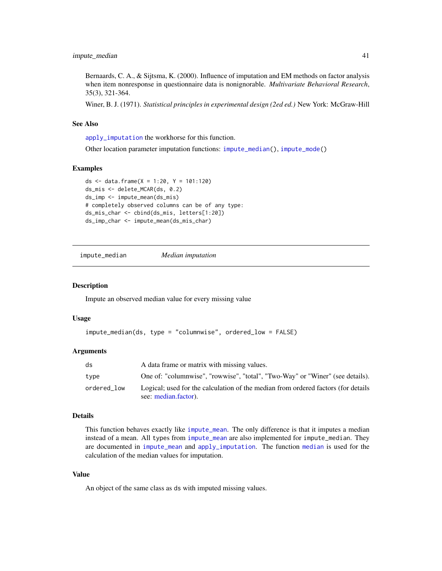<span id="page-40-0"></span>Bernaards, C. A., & Sijtsma, K. (2000). Influence of imputation and EM methods on factor analysis when item nonresponse in questionnaire data is nonignorable. *Multivariate Behavioral Research*, 35(3), 321-364.

Winer, B. J. (1971). *Statistical principles in experimental design (2ed ed.)* New York: McGraw-Hill

#### See Also

[apply\\_imputation](#page-1-1) the workhorse for this function.

Other location parameter imputation functions: [impute\\_median\(](#page-40-1)), [impute\\_mode\(](#page-41-1))

#### Examples

```
ds <- data.frame(X = 1:20, Y = 101:120)
ds_mis <- delete_MCAR(ds, 0.2)
ds_imp <- impute_mean(ds_mis)
# completely observed columns can be of any type:
ds_mis_char <- cbind(ds_mis, letters[1:20])
ds_imp_char <- impute_mean(ds_mis_char)
```
<span id="page-40-1"></span>impute\_median *Median imputation*

#### Description

Impute an observed median value for every missing value

#### Usage

```
impute_median(ds, type = "columnwise", ordered_low = FALSE)
```
#### Arguments

| ds          | A data frame or matrix with missing values.                                                               |
|-------------|-----------------------------------------------------------------------------------------------------------|
| type        | One of: "columnwise", "rowwise", "total", "Two-Way" or "Winer" (see details).                             |
| ordered_low | Logical; used for the calculation of the median from ordered factors (for details<br>see: median.factor). |

# Details

This function behaves exactly like [impute\\_mean](#page-39-1). The only difference is that it imputes a median instead of a mean. All types from [impute\\_mean](#page-39-1) are also implemented for impute\_median. They are documented in [impute\\_mean](#page-39-1) and [apply\\_imputation](#page-1-1). The function [median](#page-0-0) is used for the calculation of the median values for imputation.

#### Value

An object of the same class as ds with imputed missing values.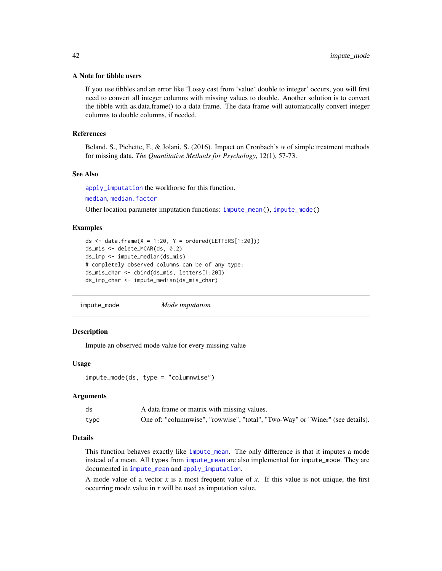#### <span id="page-41-0"></span>A Note for tibble users

If you use tibbles and an error like 'Lossy cast from 'value' double to integer' occurs, you will first need to convert all integer columns with missing values to double. Another solution is to convert the tibble with as.data.frame() to a data frame. The data frame will automatically convert integer columns to double columns, if needed.

#### References

Beland, S., Pichette, F., & Jolani, S. (2016). Impact on Cronbach's  $\alpha$  of simple treatment methods for missing data. *The Quantitative Methods for Psychology*, 12(1), 57-73.

# See Also

[apply\\_imputation](#page-1-1) the workhorse for this function.

```
median, median.factor
```
Other location parameter imputation functions: [impute\\_mean\(](#page-39-1)), [impute\\_mode\(](#page-41-1))

#### Examples

```
ds \le data.frame(X = 1:20, Y = ordered(LETTERS[1:20]))
ds_mis <- delete_MCAR(ds, 0.2)
ds_imp <- impute_median(ds_mis)
# completely observed columns can be of any type:
ds_mis_char <- cbind(ds_mis, letters[1:20])
ds_imp_char <- impute_median(ds_mis_char)
```
<span id="page-41-1"></span>impute\_mode *Mode imputation*

#### **Description**

Impute an observed mode value for every missing value

#### Usage

impute\_mode(ds, type = "columnwise")

#### Arguments

| ds   | A data frame or matrix with missing values.                                   |
|------|-------------------------------------------------------------------------------|
| type | One of: "columnwise", "rowwise", "total", "Two-Way" or "Winer" (see details). |

#### Details

This function behaves exactly like [impute\\_mean](#page-39-1). The only difference is that it imputes a mode instead of a mean. All types from [impute\\_mean](#page-39-1) are also implemented for impute\_mode. They are documented in [impute\\_mean](#page-39-1) and [apply\\_imputation](#page-1-1).

A mode value of a vector *x* is a most frequent value of *x*. If this value is not unique, the first occurring mode value in *x* will be used as imputation value.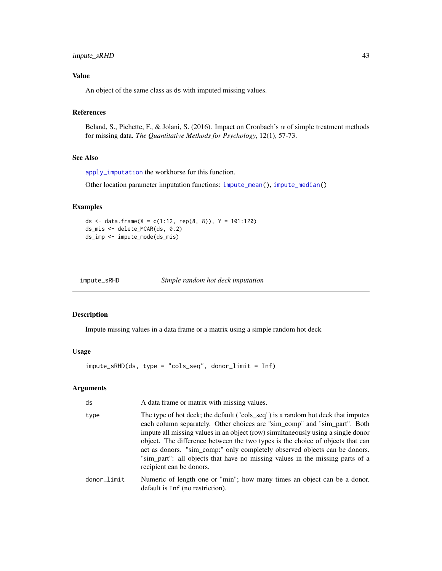# <span id="page-42-0"></span>impute\_sRHD 43

# Value

An object of the same class as ds with imputed missing values.

# References

Beland, S., Pichette, F., & Jolani, S. (2016). Impact on Cronbach's  $\alpha$  of simple treatment methods for missing data. *The Quantitative Methods for Psychology*, 12(1), 57-73.

#### See Also

[apply\\_imputation](#page-1-1) the workhorse for this function.

Other location parameter imputation functions: [impute\\_mean\(](#page-39-1)), [impute\\_median\(](#page-40-1))

# Examples

```
ds <- data.frame(X = c(1:12, rep(8, 8)), Y = 101:120)
ds_mis <- delete_MCAR(ds, 0.2)
ds_imp <- impute_mode(ds_mis)
```
<span id="page-42-1"></span>impute\_sRHD *Simple random hot deck imputation*

#### Description

Impute missing values in a data frame or a matrix using a simple random hot deck

#### Usage

impute\_sRHD(ds, type = "cols\_seq", donor\_limit = Inf)

# Arguments

| ds          | A data frame or matrix with missing values.                                                                                                                                                                                                                                                                                                                                                                                                                                                                                    |
|-------------|--------------------------------------------------------------------------------------------------------------------------------------------------------------------------------------------------------------------------------------------------------------------------------------------------------------------------------------------------------------------------------------------------------------------------------------------------------------------------------------------------------------------------------|
| type        | The type of hot deck; the default ("cols_seq") is a random hot deck that imputes<br>each column separately. Other choices are "sim_comp" and "sim_part". Both<br>impute all missing values in an object (row) simultaneously using a single donor<br>object. The difference between the two types is the choice of objects that can<br>act as donors. "sim_comp:" only completely observed objects can be donors.<br>"sim_part": all objects that have no missing values in the missing parts of a<br>recipient can be donors. |
| donor_limit | Numeric of length one or "min"; how many times an object can be a donor.<br>default is Inf (no restriction).                                                                                                                                                                                                                                                                                                                                                                                                                   |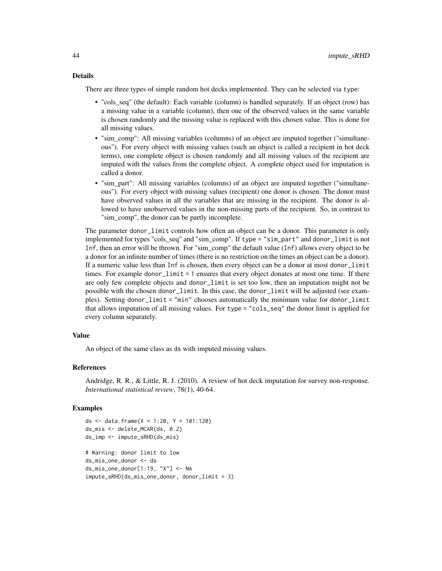#### Details

There are three types of simple random hot decks implemented. They can be selected via type:

- "cols\_seq" (the default): Each variable (column) is handled separately. If an object (row) has a missing value in a variable (column), then one of the observed values in the same variable is chosen randomly and the missing value is replaced with this chosen value. This is done for all missing values.
- "sim\_comp": All missing variables (columns) of an object are imputed together ("simultaneous"). For every object with missing values (such an object is called a recipient in hot deck terms), one complete object is chosen randomly and all missing values of the recipient are imputed with the values from the complete object. A complete object used for imputation is called a donor.
- "sim\_part": All missing variables (columns) of an object are imputed together ("simultaneous"). For every object with missing values (recipient) one donor is chosen. The donor must have observed values in all the variables that are missing in the recipient. The donor is allowed to have unobserved values in the non-missing parts of the recipient. So, in contrast to "sim\_comp", the donor can be partly incomplete.

The parameter donor\_limit controls how often an object can be a donor. This parameter is only implemented for types "cols\_seq" and "sim\_comp". If type = "sim\_part" and donor\_limit is not Inf, then an error will be thrown. For "sim\_comp" the default value (Inf) allows every object to be a donor for an infinite number of times (there is no restriction on the times an object can be a donor). If a numeric value less than Inf is chosen, then every object can be a donor at most donor\_limit times. For example donor\_limit = 1 ensures that every object donates at most one time. If there are only few complete objects and donor\_limit is set too low, then an imputation might not be possible with the chosen donor\_limit. In this case, the donor\_limit will be adjusted (see examples). Setting donor\_limit = "min" chooses automatically the minimum value for donor\_limit that allows imputation of all missing values. For type = "cols\_seq" the donor limit is applied for every column separately.

#### Value

An object of the same class as ds with imputed missing values.

# References

Andridge, R. R., & Little, R. J. (2010). A review of hot deck imputation for survey non-response. *International statistical review*, 78(1), 40-64.

#### Examples

```
ds <- data.frame(X = 1:20, Y = 101:120)
ds_mis <- delete_MCAR(ds, 0.2)
ds_imp <- impute_sRHD(ds_mis)
# Warning: donor limit to low
ds_mis_one_donor <- ds
ds_mis_one_donor[1:19, "X"] <- NA
impute_sRHD(ds_mis_one_donor, donor_limit = 3)
```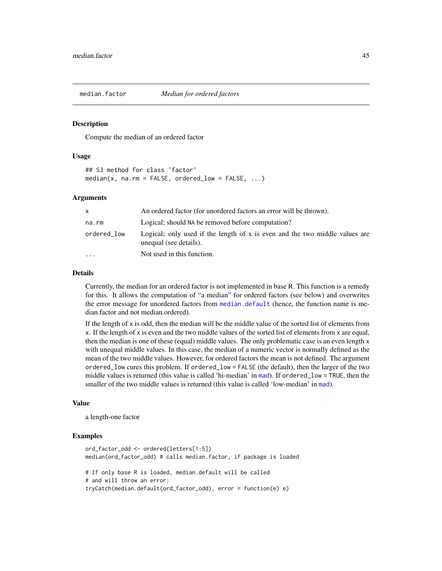<span id="page-44-1"></span><span id="page-44-0"></span>

#### Description

Compute the median of an ordered factor

#### Usage

## S3 method for class 'factor'  $median(x, na.rm = FALSE, ordered_low = FALSE, ...)$ 

#### Arguments

| X                 | An ordered factor (for unordered factors an error will be thrown).                                    |
|-------------------|-------------------------------------------------------------------------------------------------------|
| na.rm             | Logical; should NA be removed before computation?                                                     |
| ordered_low       | Logical; only used if the length of x is even and the two middle values are<br>unequal (see details). |
| $\cdot\cdot\cdot$ | Not used in this function.                                                                            |

# Details

Currently, the median for an ordered factor is not implemented in base R. This function is a remedy for this. It allows the computation of "a median" for ordered factors (see below) and overwrites the error message for unordered factors from [median.default](#page-0-0) (hence, the function name is median.factor and not median.ordered).

If the length of  $x$  is odd, then the median will be the middle value of the sorted list of elements from x. If the length of x is even and the two middle values of the sorted list of elements from x are equal, then the median is one of these (equal) middle values. The only problematic case is an even length x with unequal middle values. In this case, the median of a numeric vector is normally defined as the mean of the two middle values. However, for ordered factors the mean is not defined. The argument ordered\_low cures this problem. If ordered\_low = FALSE (the default), then the larger of the two middle values is returned (this value is called 'hi-median' in [mad](#page-0-0)). If ordered\_low = TRUE, then the smaller of the two middle values is returned (this value is called 'low-median' in [mad](#page-0-0)).

#### Value

a length-one factor

#### Examples

```
ord_factor_odd <- ordered(letters[1:5])
median(ord_factor_odd) # calls median.factor, if package is loaded
# If only base R is loaded, median.default will be called
# and will throw an error:
tryCatch(median.default(ord_factor_odd), error = function(e) e)
```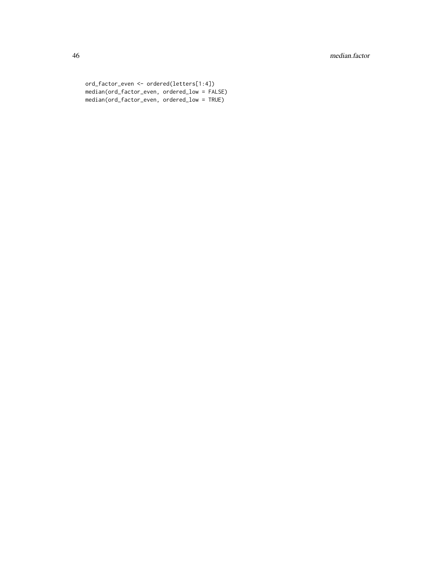```
ord_factor_even <- ordered(letters[1:4])
median(ord_factor_even, ordered_low = FALSE)
median(ord_factor_even, ordered_low = TRUE)
```